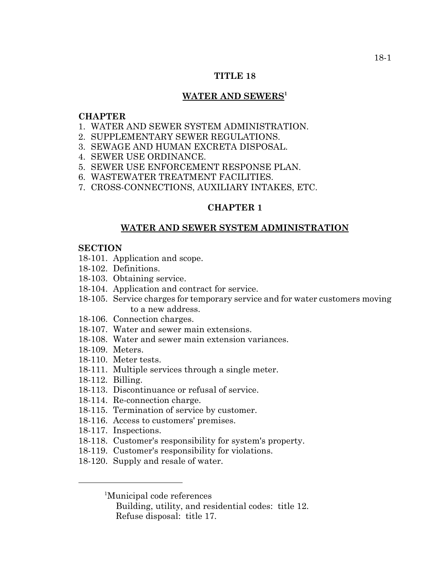### **TITLE 18**

# WATER AND SEWERS<sup>1</sup>

### **CHAPTER**

- 1. WATER AND SEWER SYSTEM ADMINISTRATION.
- 2. SUPPLEMENTARY SEWER REGULATIONS.
- 3. SEWAGE AND HUMAN EXCRETA DISPOSAL.
- 4. SEWER USE ORDINANCE.
- 5. SEWER USE ENFORCEMENT RESPONSE PLAN.
- 6. WASTEWATER TREATMENT FACILITIES.
- 7. CROSS-CONNECTIONS, AUXILIARY INTAKES, ETC.

# **CHAPTER 1**

## **WATER AND SEWER SYSTEM ADMINISTRATION**

### **SECTION**

- 18-101. Application and scope.
- 18-102. Definitions.
- 18-103. Obtaining service.
- 18-104. Application and contract for service.
- 18-105. Service charges for temporary service and for water customers moving to a new address.
- 18-106. Connection charges.
- 18-107. Water and sewer main extensions.
- 18-108. Water and sewer main extension variances.
- 18-109. Meters.
- 18-110. Meter tests.
- 18-111. Multiple services through a single meter.
- 18-112. Billing.
- 18-113. Discontinuance or refusal of service.
- 18-114. Re-connection charge.
- 18-115. Termination of service by customer.
- 18-116. Access to customers' premises.
- 18-117. Inspections.
- 18-118. Customer's responsibility for system's property.
- 18-119. Customer's responsibility for violations.
- 18-120. Supply and resale of water.

<sup>1</sup>Municipal code references

Building, utility, and residential codes: title 12. Refuse disposal: title 17.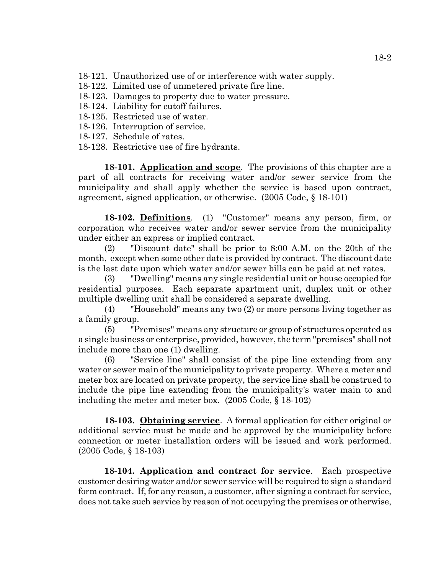18-121. Unauthorized use of or interference with water supply.

- 18-122. Limited use of unmetered private fire line.
- 18-123. Damages to property due to water pressure.
- 18-124. Liability for cutoff failures.
- 18-125. Restricted use of water.
- 18-126. Interruption of service.
- 18-127. Schedule of rates.
- 18-128. Restrictive use of fire hydrants.

**18-101. Application and scope**. The provisions of this chapter are a part of all contracts for receiving water and/or sewer service from the municipality and shall apply whether the service is based upon contract, agreement, signed application, or otherwise. (2005 Code, § 18-101)

**18-102. Definitions**. (1) "Customer" means any person, firm, or corporation who receives water and/or sewer service from the municipality under either an express or implied contract.

(2) "Discount date" shall be prior to 8:00 A.M. on the 20th of the month, except when some other date is provided by contract. The discount date is the last date upon which water and/or sewer bills can be paid at net rates.

(3) "Dwelling" means any single residential unit or house occupied for residential purposes. Each separate apartment unit, duplex unit or other multiple dwelling unit shall be considered a separate dwelling.

(4) "Household" means any two (2) or more persons living together as a family group.

(5) "Premises" means any structure or group of structures operated as a single business or enterprise, provided, however, the term "premises" shall not include more than one (1) dwelling.

(6) "Service line" shall consist of the pipe line extending from any water or sewer main of the municipality to private property. Where a meter and meter box are located on private property, the service line shall be construed to include the pipe line extending from the municipality's water main to and including the meter and meter box. (2005 Code, § 18-102)

**18-103. Obtaining service**. A formal application for either original or additional service must be made and be approved by the municipality before connection or meter installation orders will be issued and work performed. (2005 Code, § 18-103)

**18-104. Application and contract for service**. Each prospective customer desiring water and/or sewer service will be required to sign a standard form contract. If, for any reason, a customer, after signing a contract for service, does not take such service by reason of not occupying the premises or otherwise,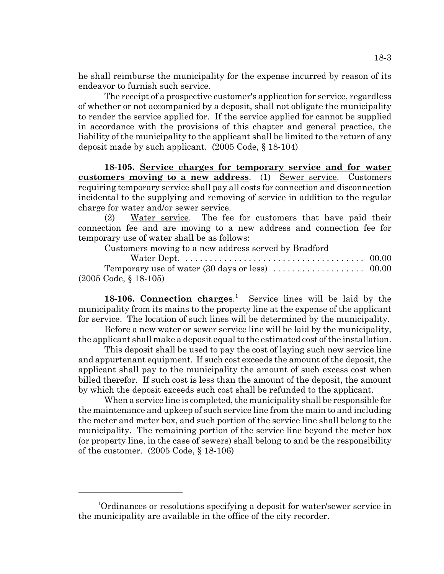he shall reimburse the municipality for the expense incurred by reason of its endeavor to furnish such service.

The receipt of a prospective customer's application for service, regardless of whether or not accompanied by a deposit, shall not obligate the municipality to render the service applied for. If the service applied for cannot be supplied in accordance with the provisions of this chapter and general practice, the liability of the municipality to the applicant shall be limited to the return of any deposit made by such applicant. (2005 Code, § 18-104)

**18-105. Service charges for temporary service and for water customers moving to a new address**. (1) Sewer service. Customers requiring temporary service shall pay all costs for connection and disconnection incidental to the supplying and removing of service in addition to the regular charge for water and/or sewer service.

(2) Water service. The fee for customers that have paid their connection fee and are moving to a new address and connection fee for temporary use of water shall be as follows:

Customers moving to a new address served by Bradford

| Water Dept. $\dots\dots\dots\dots\dots\dots\dots\dots\dots\dots\dots\dots\dots \dots 00.00$ |  |
|---------------------------------------------------------------------------------------------|--|
|                                                                                             |  |
| $(2005 \text{ Code}, \S 18-105)$                                                            |  |

18-106. Connection charges.<sup>1</sup> Service lines will be laid by the municipality from its mains to the property line at the expense of the applicant for service. The location of such lines will be determined by the municipality.

Before a new water or sewer service line will be laid by the municipality, the applicant shall make a deposit equal to the estimated cost of the installation.

This deposit shall be used to pay the cost of laying such new service line and appurtenant equipment. If such cost exceeds the amount of the deposit, the applicant shall pay to the municipality the amount of such excess cost when billed therefor. If such cost is less than the amount of the deposit, the amount by which the deposit exceeds such cost shall be refunded to the applicant.

When a service line is completed, the municipality shall be responsible for the maintenance and upkeep of such service line from the main to and including the meter and meter box, and such portion of the service line shall belong to the municipality. The remaining portion of the service line beyond the meter box (or property line, in the case of sewers) shall belong to and be the responsibility of the customer. (2005 Code, § 18-106)

<sup>1</sup> Ordinances or resolutions specifying a deposit for water/sewer service in the municipality are available in the office of the city recorder.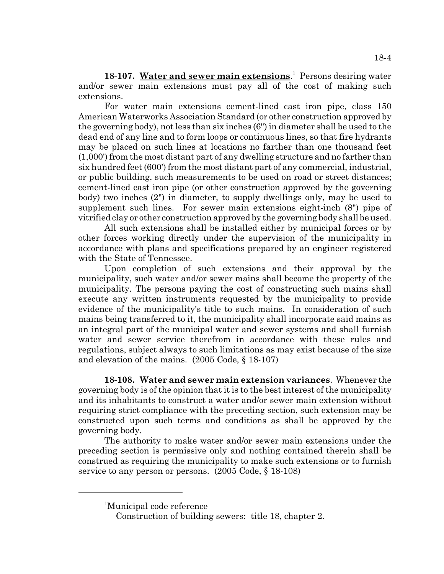18-107. Water and sewer main extensions.<sup>1</sup> Persons desiring water and/or sewer main extensions must pay all of the cost of making such extensions.

For water main extensions cement-lined cast iron pipe, class 150 American Waterworks Association Standard (or other construction approved by the governing body), not less than six inches (6") in diameter shall be used to the dead end of any line and to form loops or continuous lines, so that fire hydrants may be placed on such lines at locations no farther than one thousand feet (1,000') from the most distant part of any dwelling structure and no farther than six hundred feet (600') from the most distant part of any commercial, industrial, or public building, such measurements to be used on road or street distances; cement-lined cast iron pipe (or other construction approved by the governing body) two inches (2") in diameter, to supply dwellings only, may be used to supplement such lines. For sewer main extensions eight-inch (8") pipe of vitrified clay or other construction approved by the governing body shall be used.

All such extensions shall be installed either by municipal forces or by other forces working directly under the supervision of the municipality in accordance with plans and specifications prepared by an engineer registered with the State of Tennessee.

Upon completion of such extensions and their approval by the municipality, such water and/or sewer mains shall become the property of the municipality. The persons paying the cost of constructing such mains shall execute any written instruments requested by the municipality to provide evidence of the municipality's title to such mains. In consideration of such mains being transferred to it, the municipality shall incorporate said mains as an integral part of the municipal water and sewer systems and shall furnish water and sewer service therefrom in accordance with these rules and regulations, subject always to such limitations as may exist because of the size and elevation of the mains. (2005 Code, § 18-107)

**18-108. Water and sewer main extension variances**. Whenever the governing body is of the opinion that it is to the best interest of the municipality and its inhabitants to construct a water and/or sewer main extension without requiring strict compliance with the preceding section, such extension may be constructed upon such terms and conditions as shall be approved by the governing body.

The authority to make water and/or sewer main extensions under the preceding section is permissive only and nothing contained therein shall be construed as requiring the municipality to make such extensions or to furnish service to any person or persons. (2005 Code, § 18-108)

<sup>1</sup> Municipal code reference

Construction of building sewers: title 18, chapter 2.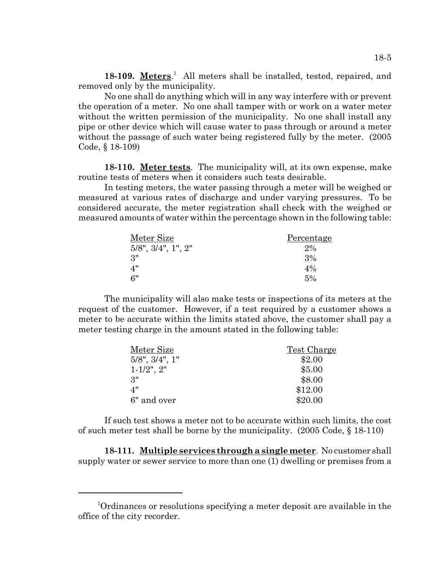18-109. Meters.<sup>1</sup> All meters shall be installed, tested, repaired, and removed only by the municipality.

No one shall do anything which will in any way interfere with or prevent the operation of a meter. No one shall tamper with or work on a water meter without the written permission of the municipality. No one shall install any pipe or other device which will cause water to pass through or around a meter without the passage of such water being registered fully by the meter.  $(2005$ Code, § 18-109)

**18-110. Meter tests**. The municipality will, at its own expense, make routine tests of meters when it considers such tests desirable.

In testing meters, the water passing through a meter will be weighed or measured at various rates of discharge and under varying pressures. To be considered accurate, the meter registration shall check with the weighed or measured amounts of water within the percentage shown in the following table:

| Meter Size               | Percentage |
|--------------------------|------------|
| $5/8$ ", $3/4$ ", 1", 2" | 2%         |
| 3"                       | 3%         |
| 4"                       | $4\%$      |
| 6"                       | 5%         |

The municipality will also make tests or inspections of its meters at the request of the customer. However, if a test required by a customer shows a meter to be accurate within the limits stated above, the customer shall pay a meter testing charge in the amount stated in the following table:

| Meter Size              | Test Charge |
|-------------------------|-------------|
| $5/8$ ", $3/4$ ", $1$ " | \$2.00      |
| $1 - 1/2$ ", $2$ "      | \$5.00      |
| 3"                      | \$8.00      |
| 4"                      | \$12.00     |
| 6" and over             | \$20.00     |

If such test shows a meter not to be accurate within such limits, the cost of such meter test shall be borne by the municipality. (2005 Code, § 18-110)

**18-111. Multiple services through a single meter**. No customer shall supply water or sewer service to more than one (1) dwelling or premises from a

<sup>1</sup> Ordinances or resolutions specifying a meter deposit are available in the office of the city recorder.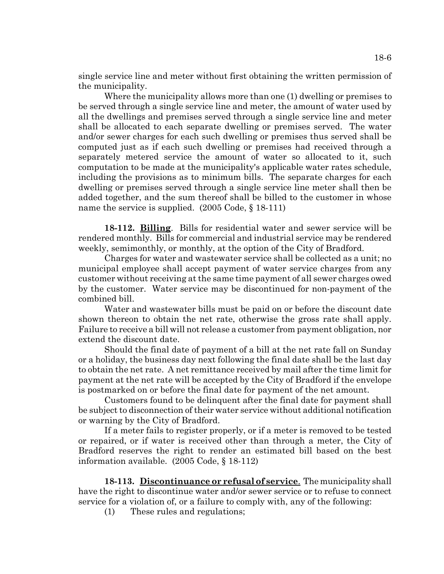single service line and meter without first obtaining the written permission of the municipality.

 Where the municipality allows more than one (1) dwelling or premises to be served through a single service line and meter, the amount of water used by all the dwellings and premises served through a single service line and meter shall be allocated to each separate dwelling or premises served. The water and/or sewer charges for each such dwelling or premises thus served shall be computed just as if each such dwelling or premises had received through a separately metered service the amount of water so allocated to it, such computation to be made at the municipality's applicable water rates schedule, including the provisions as to minimum bills. The separate charges for each dwelling or premises served through a single service line meter shall then be added together, and the sum thereof shall be billed to the customer in whose name the service is supplied. (2005 Code, § 18-111)

**18-112. Billing**. Bills for residential water and sewer service will be rendered monthly. Bills for commercial and industrial service may be rendered weekly, semimonthly, or monthly, at the option of the City of Bradford.

Charges for water and wastewater service shall be collected as a unit; no municipal employee shall accept payment of water service charges from any customer without receiving at the same time payment of all sewer charges owed by the customer. Water service may be discontinued for non-payment of the combined bill.

Water and wastewater bills must be paid on or before the discount date shown thereon to obtain the net rate, otherwise the gross rate shall apply. Failure to receive a bill will not release a customer from payment obligation, nor extend the discount date.

Should the final date of payment of a bill at the net rate fall on Sunday or a holiday, the business day next following the final date shall be the last day to obtain the net rate. A net remittance received by mail after the time limit for payment at the net rate will be accepted by the City of Bradford if the envelope is postmarked on or before the final date for payment of the net amount.

Customers found to be delinquent after the final date for payment shall be subject to disconnection of their water service without additional notification or warning by the City of Bradford.

If a meter fails to register properly, or if a meter is removed to be tested or repaired, or if water is received other than through a meter, the City of Bradford reserves the right to render an estimated bill based on the best information available. (2005 Code, § 18-112)

**18-113. Discontinuance or refusal of service**. The municipality shall have the right to discontinue water and/or sewer service or to refuse to connect service for a violation of, or a failure to comply with, any of the following:

(1) These rules and regulations;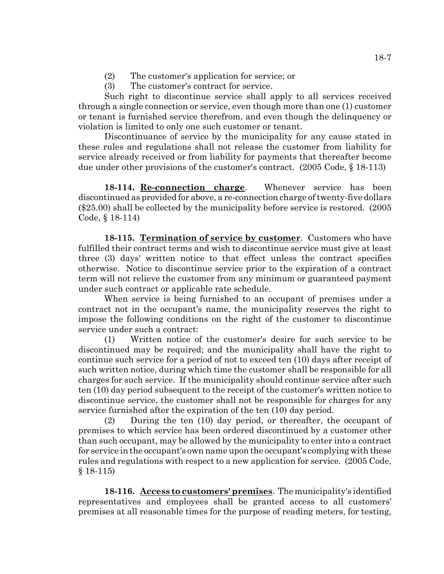- (2) The customer's application for service; or
- (3) The customer's contract for service.

Such right to discontinue service shall apply to all services received through a single connection or service, even though more than one (1) customer or tenant is furnished service therefrom, and even though the delinquency or violation is limited to only one such customer or tenant.

Discontinuance of service by the municipality for any cause stated in these rules and regulations shall not release the customer from liability for service already received or from liability for payments that thereafter become due under other provisions of the customer's contract. (2005 Code, § 18-113)

**18-114. Re-connection charge**. Whenever service has been discontinued as provided for above, a re-connection charge of twenty-five dollars (\$25.00) shall be collected by the municipality before service is restored. (2005 Code, § 18-114)

**18-115. Termination of service by customer**. Customers who have fulfilled their contract terms and wish to discontinue service must give at least three (3) days' written notice to that effect unless the contract specifies otherwise. Notice to discontinue service prior to the expiration of a contract term will not relieve the customer from any minimum or guaranteed payment under such contract or applicable rate schedule.

When service is being furnished to an occupant of premises under a contract not in the occupant's name, the municipality reserves the right to impose the following conditions on the right of the customer to discontinue service under such a contract:

(1) Written notice of the customer's desire for such service to be discontinued may be required; and the municipality shall have the right to continue such service for a period of not to exceed ten (10) days after receipt of such written notice, during which time the customer shall be responsible for all charges for such service. If the municipality should continue service after such ten (10) day period subsequent to the receipt of the customer's written notice to discontinue service, the customer shall not be responsible for charges for any service furnished after the expiration of the ten (10) day period.

(2) During the ten (10) day period, or thereafter, the occupant of premises to which service has been ordered discontinued by a customer other than such occupant, may be allowed by the municipality to enter into a contract for service in the occupant's own name upon the occupant's complying with these rules and regulations with respect to a new application for service. (2005 Code, § 18-115)

**18-116. Access to customers' premises**. The municipality's identified representatives and employees shall be granted access to all customers' premises at all reasonable times for the purpose of reading meters, for testing,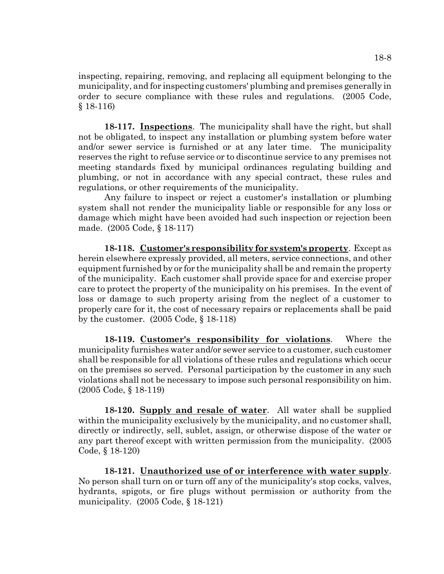inspecting, repairing, removing, and replacing all equipment belonging to the municipality, and for inspecting customers' plumbing and premises generally in order to secure compliance with these rules and regulations. (2005 Code, § 18-116)

**18-117. Inspections**. The municipality shall have the right, but shall not be obligated, to inspect any installation or plumbing system before water and/or sewer service is furnished or at any later time. The municipality reserves the right to refuse service or to discontinue service to any premises not meeting standards fixed by municipal ordinances regulating building and plumbing, or not in accordance with any special contract, these rules and regulations, or other requirements of the municipality.

Any failure to inspect or reject a customer's installation or plumbing system shall not render the municipality liable or responsible for any loss or damage which might have been avoided had such inspection or rejection been made. (2005 Code, § 18-117)

**18-118. Customer's responsibility for system's property**. Except as herein elsewhere expressly provided, all meters, service connections, and other equipment furnished by or for the municipality shall be and remain the property of the municipality. Each customer shall provide space for and exercise proper care to protect the property of the municipality on his premises. In the event of loss or damage to such property arising from the neglect of a customer to properly care for it, the cost of necessary repairs or replacements shall be paid by the customer. (2005 Code, § 18-118)

**18-119. Customer's responsibility for violations**. Where the municipality furnishes water and/or sewer service to a customer, such customer shall be responsible for all violations of these rules and regulations which occur on the premises so served. Personal participation by the customer in any such violations shall not be necessary to impose such personal responsibility on him. (2005 Code, § 18-119)

**18-120. Supply and resale of water**. All water shall be supplied within the municipality exclusively by the municipality, and no customer shall, directly or indirectly, sell, sublet, assign, or otherwise dispose of the water or any part thereof except with written permission from the municipality. (2005 Code, § 18-120)

**18-121. Unauthorized use of or interference with water supply**. No person shall turn on or turn off any of the municipality's stop cocks, valves, hydrants, spigots, or fire plugs without permission or authority from the municipality. (2005 Code, § 18-121)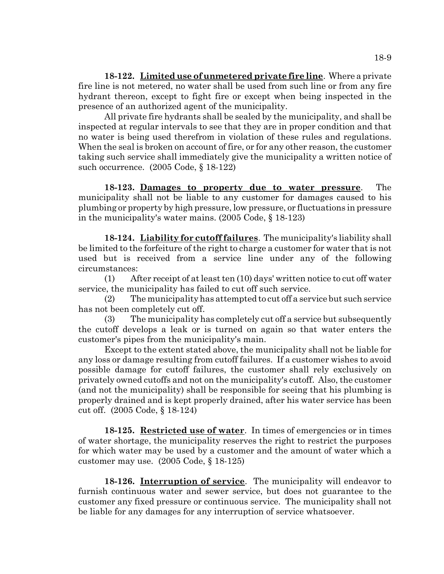**18-122. Limited use of unmetered private fire line**. Where a private fire line is not metered, no water shall be used from such line or from any fire hydrant thereon, except to fight fire or except when being inspected in the presence of an authorized agent of the municipality.

All private fire hydrants shall be sealed by the municipality, and shall be inspected at regular intervals to see that they are in proper condition and that no water is being used therefrom in violation of these rules and regulations. When the seal is broken on account of fire, or for any other reason, the customer taking such service shall immediately give the municipality a written notice of such occurrence. (2005 Code, § 18-122)

**18-123. Damages to property due to water pressure**. The municipality shall not be liable to any customer for damages caused to his plumbing or property by high pressure, low pressure, or fluctuations in pressure in the municipality's water mains. (2005 Code, § 18-123)

**18-124. Liability for cutoff failures**. The municipality's liability shall be limited to the forfeiture of the right to charge a customer for water that is not used but is received from a service line under any of the following circumstances:

(1) After receipt of at least ten (10) days' written notice to cut off water service, the municipality has failed to cut off such service.

(2) The municipality has attempted to cut off a service but such service has not been completely cut off.

(3) The municipality has completely cut off a service but subsequently the cutoff develops a leak or is turned on again so that water enters the customer's pipes from the municipality's main.

Except to the extent stated above, the municipality shall not be liable for any loss or damage resulting from cutoff failures. If a customer wishes to avoid possible damage for cutoff failures, the customer shall rely exclusively on privately owned cutoffs and not on the municipality's cutoff. Also, the customer (and not the municipality) shall be responsible for seeing that his plumbing is properly drained and is kept properly drained, after his water service has been cut off. (2005 Code, § 18-124)

**18-125. Restricted use of water**. In times of emergencies or in times of water shortage, the municipality reserves the right to restrict the purposes for which water may be used by a customer and the amount of water which a customer may use. (2005 Code, § 18-125)

**18-126. Interruption of service**. The municipality will endeavor to furnish continuous water and sewer service, but does not guarantee to the customer any fixed pressure or continuous service. The municipality shall not be liable for any damages for any interruption of service whatsoever.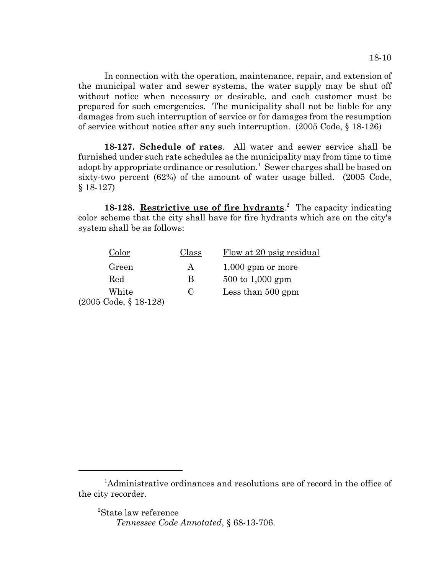In connection with the operation, maintenance, repair, and extension of the municipal water and sewer systems, the water supply may be shut off without notice when necessary or desirable, and each customer must be prepared for such emergencies. The municipality shall not be liable for any damages from such interruption of service or for damages from the resumption of service without notice after any such interruption. (2005 Code, § 18-126)

**18-127. Schedule of rates**. All water and sewer service shall be furnished under such rate schedules as the municipality may from time to time adopt by appropriate ordinance or resolution.<sup>1</sup> Sewer charges shall be based on sixty-two percent (62%) of the amount of water usage billed. (2005 Code, § 18-127)

18-128. Restrictive use of fire hydrants.<sup>2</sup> The capacity indicating color scheme that the city shall have for fire hydrants which are on the city's system shall be as follows:

| Color                 | Class | Flow at 20 psig residual            |
|-----------------------|-------|-------------------------------------|
| Green                 | А     | $1,000$ gpm or more                 |
| Red                   | B     | $500 \text{ to } 1,000 \text{ gpm}$ |
| White                 | C     | Less than $500$ gpm                 |
| (2005 Code, § 18-128) |       |                                     |

<sup>&</sup>lt;sup>1</sup>Administrative ordinances and resolutions are of record in the office of the city recorder.

<sup>2</sup> State law reference *Tennessee Code Annotated*, § 68-13-706.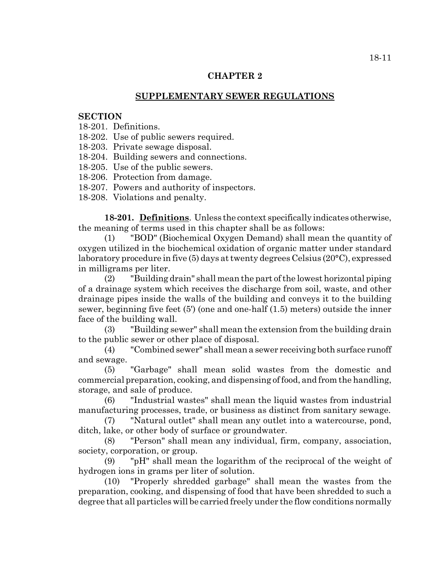### **CHAPTER 2**

### **SUPPLEMENTARY SEWER REGULATIONS**

#### **SECTION**

- 18-201. Definitions.
- 18-202. Use of public sewers required.
- 18-203. Private sewage disposal.
- 18-204. Building sewers and connections.
- 18-205. Use of the public sewers.
- 18-206. Protection from damage.
- 18-207. Powers and authority of inspectors.
- 18-208. Violations and penalty.

**18-201. Definitions**. Unless the context specifically indicates otherwise, the meaning of terms used in this chapter shall be as follows:

(1) "BOD" (Biochemical Oxygen Demand) shall mean the quantity of oxygen utilized in the biochemical oxidation of organic matter under standard laboratory procedure in five (5) days at twenty degrees Celsius (20°C), expressed in milligrams per liter.

(2) "Building drain" shall mean the part of the lowest horizontal piping of a drainage system which receives the discharge from soil, waste, and other drainage pipes inside the walls of the building and conveys it to the building sewer, beginning five feet (5') (one and one-half (1.5) meters) outside the inner face of the building wall.

(3) "Building sewer" shall mean the extension from the building drain to the public sewer or other place of disposal.

(4) "Combined sewer" shall mean a sewer receiving both surface runoff and sewage.

(5) "Garbage" shall mean solid wastes from the domestic and commercial preparation, cooking, and dispensing of food, and from the handling, storage, and sale of produce.

(6) "Industrial wastes" shall mean the liquid wastes from industrial manufacturing processes, trade, or business as distinct from sanitary sewage.

(7) "Natural outlet" shall mean any outlet into a watercourse, pond, ditch, lake, or other body of surface or groundwater.

(8) "Person" shall mean any individual, firm, company, association, society, corporation, or group.

(9) "pH" shall mean the logarithm of the reciprocal of the weight of hydrogen ions in grams per liter of solution.

(10) "Properly shredded garbage" shall mean the wastes from the preparation, cooking, and dispensing of food that have been shredded to such a degree that all particles will be carried freely under the flow conditions normally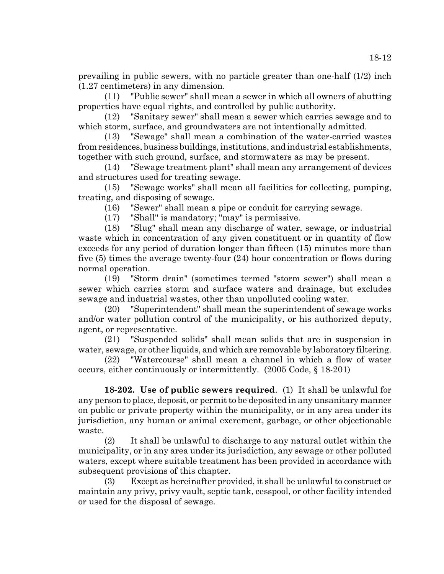prevailing in public sewers, with no particle greater than one-half (1/2) inch (1.27 centimeters) in any dimension.

(11) "Public sewer" shall mean a sewer in which all owners of abutting properties have equal rights, and controlled by public authority.

(12) "Sanitary sewer" shall mean a sewer which carries sewage and to which storm, surface, and groundwaters are not intentionally admitted.

(13) "Sewage" shall mean a combination of the water-carried wastes from residences, business buildings, institutions, and industrial establishments, together with such ground, surface, and stormwaters as may be present.

(14) "Sewage treatment plant" shall mean any arrangement of devices and structures used for treating sewage.

(15) "Sewage works" shall mean all facilities for collecting, pumping, treating, and disposing of sewage.

(16) "Sewer" shall mean a pipe or conduit for carrying sewage.

(17) "Shall" is mandatory; "may" is permissive.

(18) "Slug" shall mean any discharge of water, sewage, or industrial waste which in concentration of any given constituent or in quantity of flow exceeds for any period of duration longer than fifteen (15) minutes more than five (5) times the average twenty-four (24) hour concentration or flows during normal operation.

(19) "Storm drain" (sometimes termed "storm sewer") shall mean a sewer which carries storm and surface waters and drainage, but excludes sewage and industrial wastes, other than unpolluted cooling water.

(20) "Superintendent" shall mean the superintendent of sewage works and/or water pollution control of the municipality, or his authorized deputy, agent, or representative.

(21) "Suspended solids" shall mean solids that are in suspension in water, sewage, or other liquids, and which are removable by laboratory filtering.

(22) "Watercourse" shall mean a channel in which a flow of water occurs, either continuously or intermittently. (2005 Code, § 18-201)

**18-202. Use of public sewers required**. (1) It shall be unlawful for any person to place, deposit, or permit to be deposited in any unsanitary manner on public or private property within the municipality, or in any area under its jurisdiction, any human or animal excrement, garbage, or other objectionable waste.

(2) It shall be unlawful to discharge to any natural outlet within the municipality, or in any area under its jurisdiction, any sewage or other polluted waters, except where suitable treatment has been provided in accordance with subsequent provisions of this chapter.

(3) Except as hereinafter provided, it shall be unlawful to construct or maintain any privy, privy vault, septic tank, cesspool, or other facility intended or used for the disposal of sewage.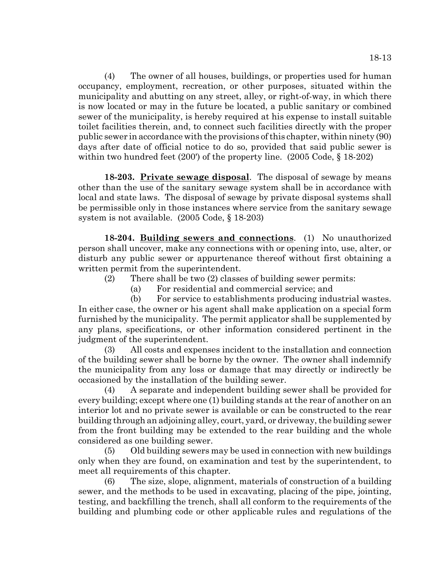(4) The owner of all houses, buildings, or properties used for human occupancy, employment, recreation, or other purposes, situated within the municipality and abutting on any street, alley, or right-of-way, in which there is now located or may in the future be located, a public sanitary or combined sewer of the municipality, is hereby required at his expense to install suitable toilet facilities therein, and, to connect such facilities directly with the proper public sewer in accordance with the provisions of this chapter, within ninety (90) days after date of official notice to do so, provided that said public sewer is within two hundred feet (200') of the property line. (2005 Code, § 18-202)

**18-203. Private sewage disposal**. The disposal of sewage by means other than the use of the sanitary sewage system shall be in accordance with local and state laws. The disposal of sewage by private disposal systems shall be permissible only in those instances where service from the sanitary sewage system is not available. (2005 Code, § 18-203)

**18-204. Building sewers and connections**. (1) No unauthorized person shall uncover, make any connections with or opening into, use, alter, or disturb any public sewer or appurtenance thereof without first obtaining a written permit from the superintendent.

- (2) There shall be two (2) classes of building sewer permits:
	- (a) For residential and commercial service; and

(b) For service to establishments producing industrial wastes. In either case, the owner or his agent shall make application on a special form furnished by the municipality. The permit applicator shall be supplemented by any plans, specifications, or other information considered pertinent in the judgment of the superintendent.

(3) All costs and expenses incident to the installation and connection of the building sewer shall be borne by the owner. The owner shall indemnify the municipality from any loss or damage that may directly or indirectly be occasioned by the installation of the building sewer.

(4) A separate and independent building sewer shall be provided for every building; except where one (1) building stands at the rear of another on an interior lot and no private sewer is available or can be constructed to the rear building through an adjoining alley, court, yard, or driveway, the building sewer from the front building may be extended to the rear building and the whole considered as one building sewer.

(5) Old building sewers may be used in connection with new buildings only when they are found, on examination and test by the superintendent, to meet all requirements of this chapter.

(6) The size, slope, alignment, materials of construction of a building sewer, and the methods to be used in excavating, placing of the pipe, jointing, testing, and backfilling the trench, shall all conform to the requirements of the building and plumbing code or other applicable rules and regulations of the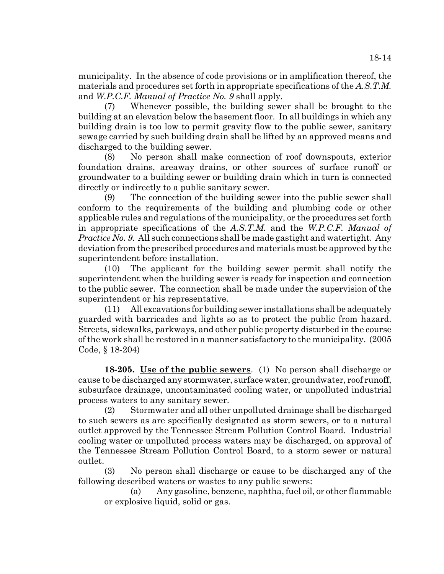municipality. In the absence of code provisions or in amplification thereof, the materials and procedures set forth in appropriate specifications of the *A.S.T.M.* and *W.P.C.F. Manual of Practice No. 9* shall apply.

(7) Whenever possible, the building sewer shall be brought to the building at an elevation below the basement floor. In all buildings in which any building drain is too low to permit gravity flow to the public sewer, sanitary sewage carried by such building drain shall be lifted by an approved means and discharged to the building sewer.

(8) No person shall make connection of roof downspouts, exterior foundation drains, areaway drains, or other sources of surface runoff or groundwater to a building sewer or building drain which in turn is connected directly or indirectly to a public sanitary sewer.

(9) The connection of the building sewer into the public sewer shall conform to the requirements of the building and plumbing code or other applicable rules and regulations of the municipality, or the procedures set forth in appropriate specifications of the *A.S.T.M.* and the *W.P.C.F. Manual of Practice No. 9*. All such connections shall be made gastight and watertight. Any deviation from the prescribed procedures and materials must be approved by the superintendent before installation.

(10) The applicant for the building sewer permit shall notify the superintendent when the building sewer is ready for inspection and connection to the public sewer. The connection shall be made under the supervision of the superintendent or his representative.

(11) All excavations for building sewer installations shall be adequately guarded with barricades and lights so as to protect the public from hazard. Streets, sidewalks, parkways, and other public property disturbed in the course of the work shall be restored in a manner satisfactory to the municipality. (2005 Code, § 18-204)

**18-205. Use of the public sewers**. (1) No person shall discharge or cause to be discharged any stormwater, surface water, groundwater, roof runoff, subsurface drainage, uncontaminated cooling water, or unpolluted industrial process waters to any sanitary sewer.

(2) Stormwater and all other unpolluted drainage shall be discharged to such sewers as are specifically designated as storm sewers, or to a natural outlet approved by the Tennessee Stream Pollution Control Board. Industrial cooling water or unpolluted process waters may be discharged, on approval of the Tennessee Stream Pollution Control Board, to a storm sewer or natural outlet.

(3) No person shall discharge or cause to be discharged any of the following described waters or wastes to any public sewers:

(a) Any gasoline, benzene, naphtha, fuel oil, or other flammable or explosive liquid, solid or gas.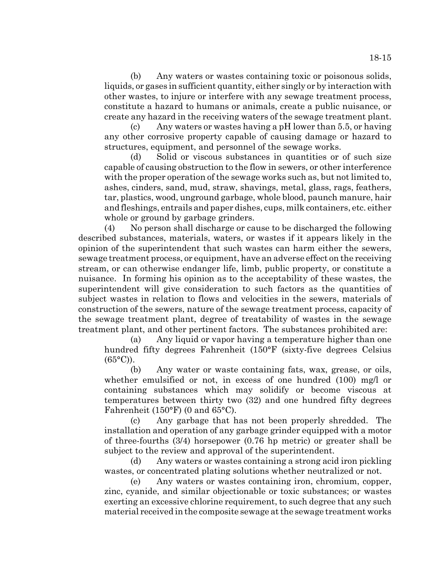(b) Any waters or wastes containing toxic or poisonous solids, liquids, or gases in sufficient quantity, either singly or by interaction with other wastes, to injure or interfere with any sewage treatment process, constitute a hazard to humans or animals, create a public nuisance, or create any hazard in the receiving waters of the sewage treatment plant.

(c) Any waters or wastes having a pH lower than 5.5, or having any other corrosive property capable of causing damage or hazard to structures, equipment, and personnel of the sewage works.

(d) Solid or viscous substances in quantities or of such size capable of causing obstruction to the flow in sewers, or other interference with the proper operation of the sewage works such as, but not limited to, ashes, cinders, sand, mud, straw, shavings, metal, glass, rags, feathers, tar, plastics, wood, unground garbage, whole blood, paunch manure, hair and fleshings, entrails and paper dishes, cups, milk containers, etc. either whole or ground by garbage grinders.

(4) No person shall discharge or cause to be discharged the following described substances, materials, waters, or wastes if it appears likely in the opinion of the superintendent that such wastes can harm either the sewers, sewage treatment process, or equipment, have an adverse effect on the receiving stream, or can otherwise endanger life, limb, public property, or constitute a nuisance. In forming his opinion as to the acceptability of these wastes, the superintendent will give consideration to such factors as the quantities of subject wastes in relation to flows and velocities in the sewers, materials of construction of the sewers, nature of the sewage treatment process, capacity of the sewage treatment plant, degree of treatability of wastes in the sewage treatment plant, and other pertinent factors. The substances prohibited are:

(a) Any liquid or vapor having a temperature higher than one hundred fifty degrees Fahrenheit (150°F (sixty-five degrees Celsius  $(65^{\circ}C)$ ).

(b) Any water or waste containing fats, wax, grease, or oils, whether emulsified or not, in excess of one hundred (100) mg/l or containing substances which may solidify or become viscous at temperatures between thirty two (32) and one hundred fifty degrees Fahrenheit (150°F) (0 and 65°C).

(c) Any garbage that has not been properly shredded. The installation and operation of any garbage grinder equipped with a motor of three-fourths (3/4) horsepower (0.76 hp metric) or greater shall be subject to the review and approval of the superintendent.

(d) Any waters or wastes containing a strong acid iron pickling wastes, or concentrated plating solutions whether neutralized or not.

(e) Any waters or wastes containing iron, chromium, copper, zinc, cyanide, and similar objectionable or toxic substances; or wastes exerting an excessive chlorine requirement, to such degree that any such material received in the composite sewage at the sewage treatment works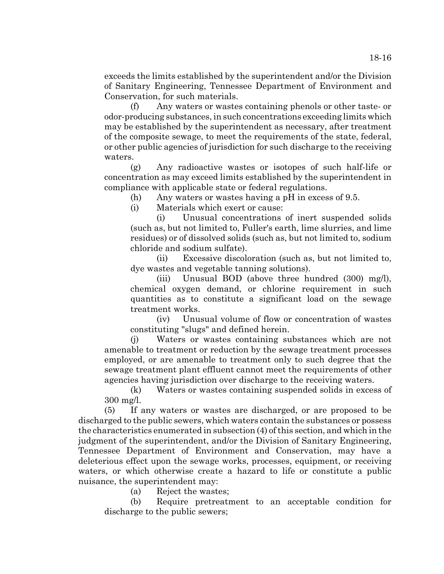exceeds the limits established by the superintendent and/or the Division of Sanitary Engineering, Tennessee Department of Environment and Conservation, for such materials.

(f) Any waters or wastes containing phenols or other taste- or odor-producing substances, in such concentrations exceeding limits which may be established by the superintendent as necessary, after treatment of the composite sewage, to meet the requirements of the state, federal, or other public agencies of jurisdiction for such discharge to the receiving waters.

(g) Any radioactive wastes or isotopes of such half-life or concentration as may exceed limits established by the superintendent in compliance with applicable state or federal regulations.

(h) Any waters or wastes having a pH in excess of 9.5.

(i) Materials which exert or cause:

(i) Unusual concentrations of inert suspended solids (such as, but not limited to, Fuller's earth, lime slurries, and lime residues) or of dissolved solids (such as, but not limited to, sodium chloride and sodium sulfate).

(ii) Excessive discoloration (such as, but not limited to, dye wastes and vegetable tanning solutions).

(iii) Unusual BOD (above three hundred (300) mg/l), chemical oxygen demand, or chlorine requirement in such quantities as to constitute a significant load on the sewage treatment works.

(iv) Unusual volume of flow or concentration of wastes constituting "slugs" and defined herein.

(j) Waters or wastes containing substances which are not amenable to treatment or reduction by the sewage treatment processes employed, or are amenable to treatment only to such degree that the sewage treatment plant effluent cannot meet the requirements of other agencies having jurisdiction over discharge to the receiving waters.

(k) Waters or wastes containing suspended solids in excess of 300 mg/l.

(5) If any waters or wastes are discharged, or are proposed to be discharged to the public sewers, which waters contain the substances or possess the characteristics enumerated in subsection (4) of this section, and which in the judgment of the superintendent, and/or the Division of Sanitary Engineering, Tennessee Department of Environment and Conservation, may have a deleterious effect upon the sewage works, processes, equipment, or receiving waters, or which otherwise create a hazard to life or constitute a public nuisance, the superintendent may:

(a) Reject the wastes;

(b) Require pretreatment to an acceptable condition for discharge to the public sewers;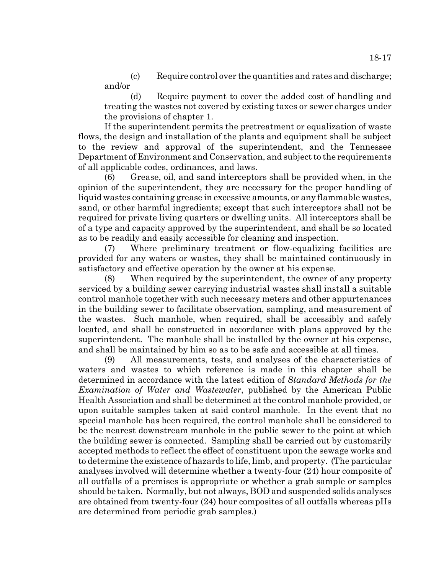(c) Require control over the quantities and rates and discharge; and/or

(d) Require payment to cover the added cost of handling and treating the wastes not covered by existing taxes or sewer charges under the provisions of chapter 1.

If the superintendent permits the pretreatment or equalization of waste flows, the design and installation of the plants and equipment shall be subject to the review and approval of the superintendent, and the Tennessee Department of Environment and Conservation, and subject to the requirements of all applicable codes, ordinances, and laws.

(6) Grease, oil, and sand interceptors shall be provided when, in the opinion of the superintendent, they are necessary for the proper handling of liquid wastes containing grease in excessive amounts, or any flammable wastes, sand, or other harmful ingredients; except that such interceptors shall not be required for private living quarters or dwelling units. All interceptors shall be of a type and capacity approved by the superintendent, and shall be so located as to be readily and easily accessible for cleaning and inspection.

(7) Where preliminary treatment or flow-equalizing facilities are provided for any waters or wastes, they shall be maintained continuously in satisfactory and effective operation by the owner at his expense.

(8) When required by the superintendent, the owner of any property serviced by a building sewer carrying industrial wastes shall install a suitable control manhole together with such necessary meters and other appurtenances in the building sewer to facilitate observation, sampling, and measurement of the wastes. Such manhole, when required, shall be accessibly and safely located, and shall be constructed in accordance with plans approved by the superintendent. The manhole shall be installed by the owner at his expense, and shall be maintained by him so as to be safe and accessible at all times.

(9) All measurements, tests, and analyses of the characteristics of waters and wastes to which reference is made in this chapter shall be determined in accordance with the latest edition of *Standard Methods for the Examination of Water and Wastewater*, published by the American Public Health Association and shall be determined at the control manhole provided, or upon suitable samples taken at said control manhole. In the event that no special manhole has been required, the control manhole shall be considered to be the nearest downstream manhole in the public sewer to the point at which the building sewer is connected. Sampling shall be carried out by customarily accepted methods to reflect the effect of constituent upon the sewage works and to determine the existence of hazards to life, limb, and property. (The particular analyses involved will determine whether a twenty-four (24) hour composite of all outfalls of a premises is appropriate or whether a grab sample or samples should be taken. Normally, but not always, BOD and suspended solids analyses are obtained from twenty-four (24) hour composites of all outfalls whereas pHs are determined from periodic grab samples.)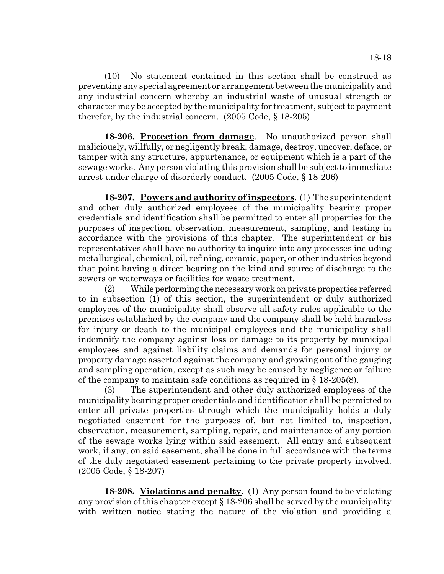(10) No statement contained in this section shall be construed as preventing any special agreement or arrangement between the municipality and any industrial concern whereby an industrial waste of unusual strength or character may be accepted by the municipality for treatment, subject to payment therefor, by the industrial concern. (2005 Code, § 18-205)

**18-206. Protection from damage**. No unauthorized person shall maliciously, willfully, or negligently break, damage, destroy, uncover, deface, or tamper with any structure, appurtenance, or equipment which is a part of the sewage works. Any person violating this provision shall be subject to immediate arrest under charge of disorderly conduct. (2005 Code, § 18-206)

**18-207. Powers and authority of inspectors**. (1) The superintendent and other duly authorized employees of the municipality bearing proper credentials and identification shall be permitted to enter all properties for the purposes of inspection, observation, measurement, sampling, and testing in accordance with the provisions of this chapter. The superintendent or his representatives shall have no authority to inquire into any processes including metallurgical, chemical, oil, refining, ceramic, paper, or other industries beyond that point having a direct bearing on the kind and source of discharge to the sewers or waterways or facilities for waste treatment.

(2) While performing the necessary work on private properties referred to in subsection (1) of this section, the superintendent or duly authorized employees of the municipality shall observe all safety rules applicable to the premises established by the company and the company shall be held harmless for injury or death to the municipal employees and the municipality shall indemnify the company against loss or damage to its property by municipal employees and against liability claims and demands for personal injury or property damage asserted against the company and growing out of the gauging and sampling operation, except as such may be caused by negligence or failure of the company to maintain safe conditions as required in  $\S$  18-205(8).

(3) The superintendent and other duly authorized employees of the municipality bearing proper credentials and identification shall be permitted to enter all private properties through which the municipality holds a duly negotiated easement for the purposes of, but not limited to, inspection, observation, measurement, sampling, repair, and maintenance of any portion of the sewage works lying within said easement. All entry and subsequent work, if any, on said easement, shall be done in full accordance with the terms of the duly negotiated easement pertaining to the private property involved. (2005 Code, § 18-207)

**18-208. Violations and penalty**. (1) Any person found to be violating any provision of this chapter except § 18-206 shall be served by the municipality with written notice stating the nature of the violation and providing a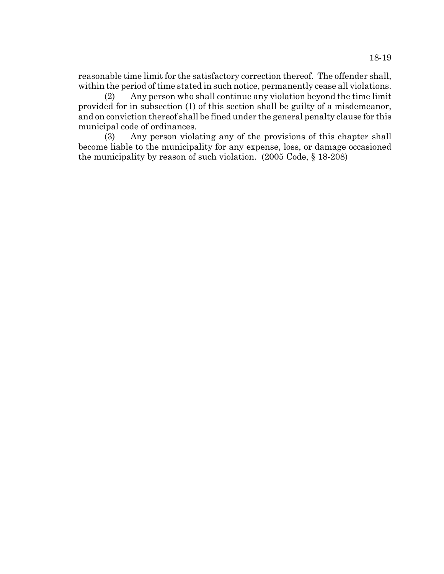reasonable time limit for the satisfactory correction thereof. The offender shall, within the period of time stated in such notice, permanently cease all violations.

(2) Any person who shall continue any violation beyond the time limit provided for in subsection (1) of this section shall be guilty of a misdemeanor, and on conviction thereof shall be fined under the general penalty clause for this municipal code of ordinances.

(3) Any person violating any of the provisions of this chapter shall become liable to the municipality for any expense, loss, or damage occasioned the municipality by reason of such violation. (2005 Code, § 18-208)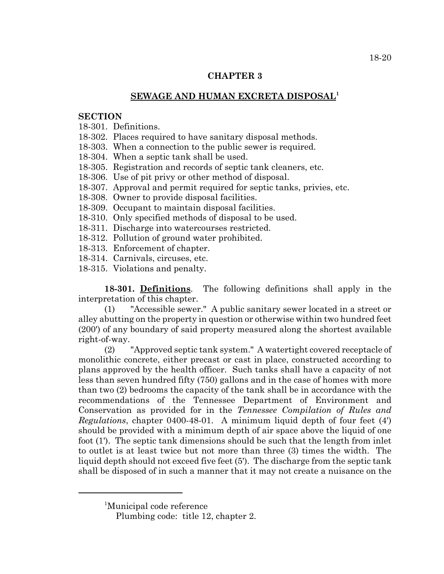### **CHAPTER 3**

### **SEWAGE AND HUMAN EXCRETA DISPOSAL1**

#### **SECTION**

18-301. Definitions.

18-302. Places required to have sanitary disposal methods.

18-303. When a connection to the public sewer is required.

18-304. When a septic tank shall be used.

18-305. Registration and records of septic tank cleaners, etc.

18-306. Use of pit privy or other method of disposal.

18-307. Approval and permit required for septic tanks, privies, etc.

18-308. Owner to provide disposal facilities.

18-309. Occupant to maintain disposal facilities.

18-310. Only specified methods of disposal to be used.

18-311. Discharge into watercourses restricted.

18-312. Pollution of ground water prohibited.

18-313. Enforcement of chapter.

18-314. Carnivals, circuses, etc.

18-315. Violations and penalty.

**18-301. Definitions**. The following definitions shall apply in the interpretation of this chapter.

(1) "Accessible sewer." A public sanitary sewer located in a street or alley abutting on the property in question or otherwise within two hundred feet (200') of any boundary of said property measured along the shortest available right-of-way.

(2) "Approved septic tank system." A watertight covered receptacle of monolithic concrete, either precast or cast in place, constructed according to plans approved by the health officer. Such tanks shall have a capacity of not less than seven hundred fifty (750) gallons and in the case of homes with more than two (2) bedrooms the capacity of the tank shall be in accordance with the recommendations of the Tennessee Department of Environment and Conservation as provided for in the *Tennessee Compilation of Rules and Regulations*, chapter 0400-48-01. A minimum liquid depth of four feet (4') should be provided with a minimum depth of air space above the liquid of one foot (1'). The septic tank dimensions should be such that the length from inlet to outlet is at least twice but not more than three (3) times the width. The liquid depth should not exceed five feet (5'). The discharge from the septic tank shall be disposed of in such a manner that it may not create a nuisance on the

1 Municipal code reference

Plumbing code: title 12, chapter 2.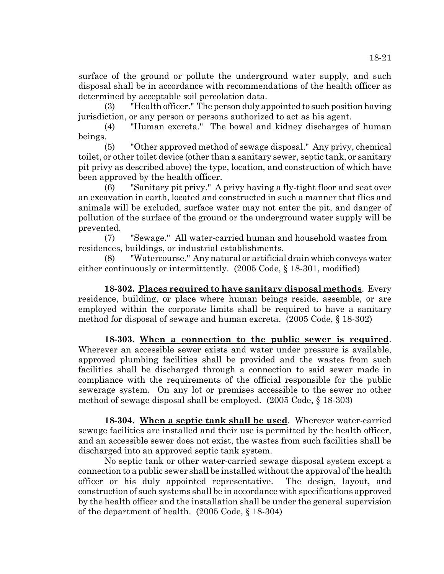surface of the ground or pollute the underground water supply, and such disposal shall be in accordance with recommendations of the health officer as determined by acceptable soil percolation data.

(3) "Health officer." The person duly appointed to such position having jurisdiction, or any person or persons authorized to act as his agent.

(4) "Human excreta." The bowel and kidney discharges of human beings.

(5) "Other approved method of sewage disposal." Any privy, chemical toilet, or other toilet device (other than a sanitary sewer, septic tank, or sanitary pit privy as described above) the type, location, and construction of which have been approved by the health officer.

(6) "Sanitary pit privy." A privy having a fly-tight floor and seat over an excavation in earth, located and constructed in such a manner that flies and animals will be excluded, surface water may not enter the pit, and danger of pollution of the surface of the ground or the underground water supply will be prevented.

(7) "Sewage." All water-carried human and household wastes from residences, buildings, or industrial establishments.

(8) "Watercourse." Any natural or artificial drain which conveys water either continuously or intermittently. (2005 Code, § 18-301, modified)

**18-302. Places required to have sanitary disposal methods**. Every residence, building, or place where human beings reside, assemble, or are employed within the corporate limits shall be required to have a sanitary method for disposal of sewage and human excreta. (2005 Code, § 18-302)

**18-303. When a connection to the public sewer is required**. Wherever an accessible sewer exists and water under pressure is available, approved plumbing facilities shall be provided and the wastes from such facilities shall be discharged through a connection to said sewer made in compliance with the requirements of the official responsible for the public sewerage system. On any lot or premises accessible to the sewer no other method of sewage disposal shall be employed. (2005 Code, § 18-303)

**18-304. When a septic tank shall be used**. Wherever water-carried sewage facilities are installed and their use is permitted by the health officer, and an accessible sewer does not exist, the wastes from such facilities shall be discharged into an approved septic tank system.

No septic tank or other water-carried sewage disposal system except a connection to a public sewer shall be installed without the approval of the health officer or his duly appointed representative. The design, layout, and construction of such systems shall be in accordance with specifications approved by the health officer and the installation shall be under the general supervision of the department of health. (2005 Code, § 18-304)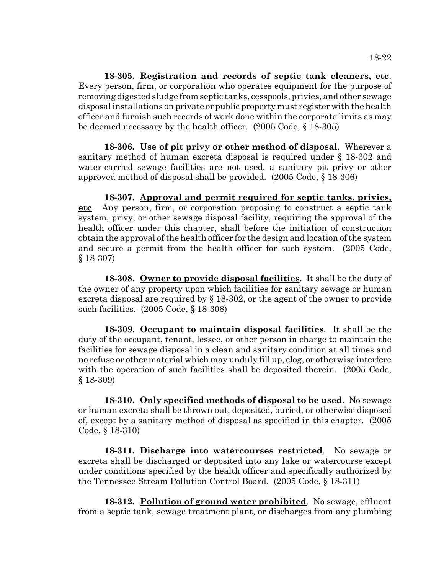**18-305. Registration and records of septic tank cleaners, etc**. Every person, firm, or corporation who operates equipment for the purpose of removing digested sludge from septic tanks, cesspools, privies, and other sewage disposal installations on private or public property must register with the health officer and furnish such records of work done within the corporate limits as may be deemed necessary by the health officer. (2005 Code, § 18-305)

**18-306. Use of pit privy or other method of disposal**. Wherever a sanitary method of human excreta disposal is required under § 18-302 and water-carried sewage facilities are not used, a sanitary pit privy or other approved method of disposal shall be provided. (2005 Code, § 18-306)

**18-307. Approval and permit required for septic tanks, privies, etc**. Any person, firm, or corporation proposing to construct a septic tank system, privy, or other sewage disposal facility, requiring the approval of the health officer under this chapter, shall before the initiation of construction obtain the approval of the health officer for the design and location of the system and secure a permit from the health officer for such system. (2005 Code, § 18-307)

**18-308. Owner to provide disposal facilities**. It shall be the duty of the owner of any property upon which facilities for sanitary sewage or human excreta disposal are required by § 18-302, or the agent of the owner to provide such facilities. (2005 Code, § 18-308)

**18-309. Occupant to maintain disposal facilities**. It shall be the duty of the occupant, tenant, lessee, or other person in charge to maintain the facilities for sewage disposal in a clean and sanitary condition at all times and no refuse or other material which may unduly fill up, clog, or otherwise interfere with the operation of such facilities shall be deposited therein. (2005 Code, § 18-309)

**18-310. Only specified methods of disposal to be used**. No sewage or human excreta shall be thrown out, deposited, buried, or otherwise disposed of, except by a sanitary method of disposal as specified in this chapter. (2005 Code, § 18-310)

**18-311. Discharge into watercourses restricted**. No sewage or excreta shall be discharged or deposited into any lake or watercourse except under conditions specified by the health officer and specifically authorized by the Tennessee Stream Pollution Control Board. (2005 Code, § 18-311)

**18-312. Pollution of ground water prohibited**. No sewage, effluent from a septic tank, sewage treatment plant, or discharges from any plumbing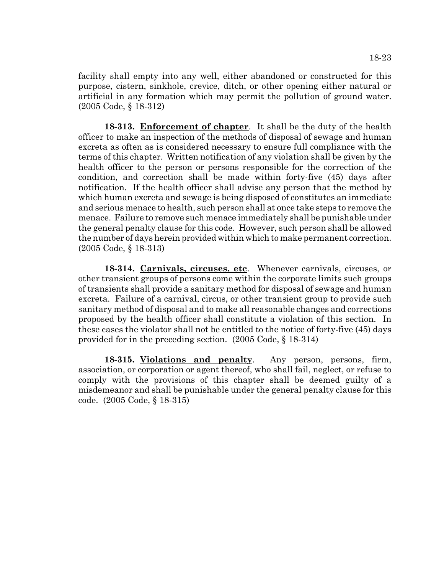facility shall empty into any well, either abandoned or constructed for this purpose, cistern, sinkhole, crevice, ditch, or other opening either natural or artificial in any formation which may permit the pollution of ground water. (2005 Code, § 18-312)

**18-313. Enforcement of chapter**. It shall be the duty of the health officer to make an inspection of the methods of disposal of sewage and human excreta as often as is considered necessary to ensure full compliance with the terms of this chapter. Written notification of any violation shall be given by the health officer to the person or persons responsible for the correction of the condition, and correction shall be made within forty-five (45) days after notification. If the health officer shall advise any person that the method by which human excreta and sewage is being disposed of constitutes an immediate and serious menace to health, such person shall at once take steps to remove the menace. Failure to remove such menace immediately shall be punishable under the general penalty clause for this code. However, such person shall be allowed the number of days herein provided within which to make permanent correction. (2005 Code, § 18-313)

**18-314. Carnivals, circuses, etc**. Whenever carnivals, circuses, or other transient groups of persons come within the corporate limits such groups of transients shall provide a sanitary method for disposal of sewage and human excreta. Failure of a carnival, circus, or other transient group to provide such sanitary method of disposal and to make all reasonable changes and corrections proposed by the health officer shall constitute a violation of this section. In these cases the violator shall not be entitled to the notice of forty-five (45) days provided for in the preceding section. (2005 Code, § 18-314)

**18-315. Violations and penalty**. Any person, persons, firm, association, or corporation or agent thereof, who shall fail, neglect, or refuse to comply with the provisions of this chapter shall be deemed guilty of a misdemeanor and shall be punishable under the general penalty clause for this code. (2005 Code, § 18-315)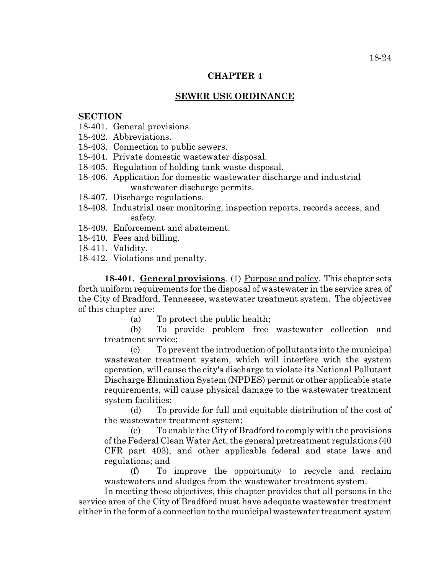#### **CHAPTER 4**

#### **SEWER USE ORDINANCE**

#### **SECTION**

- 18-401. General provisions.
- 18-402. Abbreviations.
- 18-403. Connection to public sewers.
- 18-404. Private domestic wastewater disposal.
- 18-405. Regulation of holding tank waste disposal.
- 18-406. Application for domestic wastewater discharge and industrial wastewater discharge permits.
- 18-407. Discharge regulations.
- 18-408. Industrial user monitoring, inspection reports, records access, and safety.
- 18-409. Enforcement and abatement.
- 18-410. Fees and billing.
- 18-411. Validity.
- 18-412. Violations and penalty.

**18-401. General provisions**. (1) Purpose and policy. This chapter sets forth uniform requirements for the disposal of wastewater in the service area of the City of Bradford, Tennessee, wastewater treatment system. The objectives of this chapter are:

(a) To protect the public health;

(b) To provide problem free wastewater collection and treatment service;

(c) To prevent the introduction of pollutants into the municipal wastewater treatment system, which will interfere with the system operation, will cause the city's discharge to violate its National Pollutant Discharge Elimination System (NPDES) permit or other applicable state requirements, will cause physical damage to the wastewater treatment system facilities;

(d) To provide for full and equitable distribution of the cost of the wastewater treatment system;

(e) To enable the City of Bradford to comply with the provisions of the Federal Clean Water Act, the general pretreatment regulations (40 CFR part 403), and other applicable federal and state laws and regulations; and

(f) To improve the opportunity to recycle and reclaim wastewaters and sludges from the wastewater treatment system.

In meeting these objectives, this chapter provides that all persons in the service area of the City of Bradford must have adequate wastewater treatment either in the form of a connection to the municipal wastewater treatment system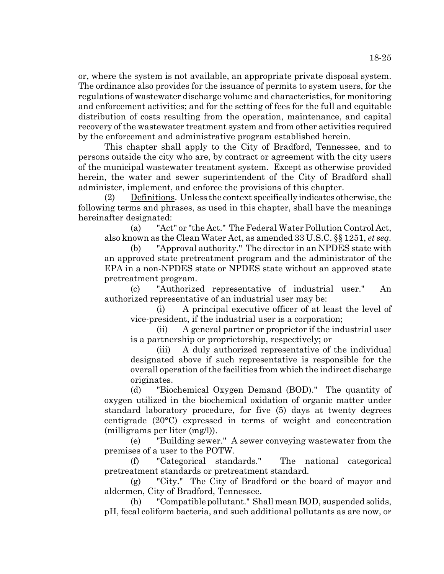or, where the system is not available, an appropriate private disposal system. The ordinance also provides for the issuance of permits to system users, for the regulations of wastewater discharge volume and characteristics, for monitoring and enforcement activities; and for the setting of fees for the full and equitable distribution of costs resulting from the operation, maintenance, and capital recovery of the wastewater treatment system and from other activities required by the enforcement and administrative program established herein.

This chapter shall apply to the City of Bradford, Tennessee, and to persons outside the city who are, by contract or agreement with the city users of the municipal wastewater treatment system. Except as otherwise provided herein, the water and sewer superintendent of the City of Bradford shall administer, implement, and enforce the provisions of this chapter.

(2) Definitions. Unless the context specifically indicates otherwise, the following terms and phrases, as used in this chapter, shall have the meanings hereinafter designated:

(a) "Act" or "the Act." The Federal Water Pollution Control Act, also known as the Clean Water Act, as amended 33 U.S.C. §§ 1251, *et seq.*

(b) "Approval authority." The director in an NPDES state with an approved state pretreatment program and the administrator of the EPA in a non-NPDES state or NPDES state without an approved state pretreatment program.

(c) "Authorized representative of industrial user." An authorized representative of an industrial user may be:

(i) A principal executive officer of at least the level of vice-president, if the industrial user is a corporation;

(ii) A general partner or proprietor if the industrial user is a partnership or proprietorship, respectively; or

(iii) A duly authorized representative of the individual designated above if such representative is responsible for the overall operation of the facilities from which the indirect discharge originates.

(d) "Biochemical Oxygen Demand (BOD)." The quantity of oxygen utilized in the biochemical oxidation of organic matter under standard laboratory procedure, for five (5) days at twenty degrees centigrade (20°C) expressed in terms of weight and concentration (milligrams per liter (mg/l)).

(e) "Building sewer." A sewer conveying wastewater from the premises of a user to the POTW.

(f) "Categorical standards." The national categorical pretreatment standards or pretreatment standard.

(g) "City." The City of Bradford or the board of mayor and aldermen, City of Bradford, Tennessee.

(h) "Compatible pollutant." Shall mean BOD, suspended solids, pH, fecal coliform bacteria, and such additional pollutants as are now, or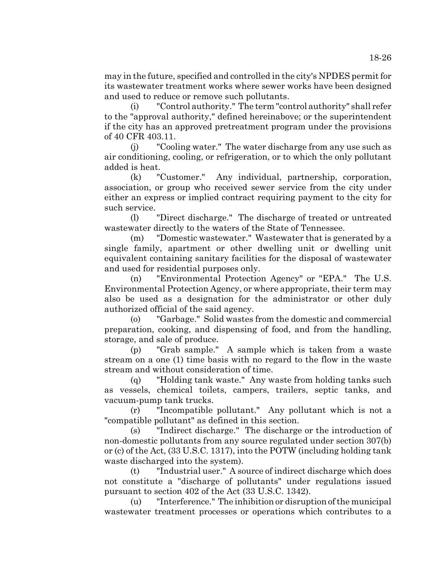may in the future, specified and controlled in the city's NPDES permit for its wastewater treatment works where sewer works have been designed and used to reduce or remove such pollutants.

(i) "Control authority." The term "control authority" shall refer to the "approval authority," defined hereinabove; or the superintendent if the city has an approved pretreatment program under the provisions of 40 CFR 403.11.

(j) "Cooling water." The water discharge from any use such as air conditioning, cooling, or refrigeration, or to which the only pollutant added is heat.

(k) "Customer." Any individual, partnership, corporation, association, or group who received sewer service from the city under either an express or implied contract requiring payment to the city for such service.

(l) "Direct discharge." The discharge of treated or untreated wastewater directly to the waters of the State of Tennessee.

(m) "Domestic wastewater." Wastewater that is generated by a single family, apartment or other dwelling unit or dwelling unit equivalent containing sanitary facilities for the disposal of wastewater and used for residential purposes only.

(n) "Environmental Protection Agency" or "EPA." The U.S. Environmental Protection Agency, or where appropriate, their term may also be used as a designation for the administrator or other duly authorized official of the said agency.

(o) "Garbage." Solid wastes from the domestic and commercial preparation, cooking, and dispensing of food, and from the handling, storage, and sale of produce.

(p) "Grab sample." A sample which is taken from a waste stream on a one (1) time basis with no regard to the flow in the waste stream and without consideration of time.

(q) "Holding tank waste." Any waste from holding tanks such as vessels, chemical toilets, campers, trailers, septic tanks, and vacuum-pump tank trucks.

(r) "Incompatible pollutant." Any pollutant which is not a "compatible pollutant" as defined in this section.

(s) "Indirect discharge." The discharge or the introduction of non-domestic pollutants from any source regulated under section 307(b) or (c) of the Act, (33 U.S.C. 1317), into the POTW (including holding tank waste discharged into the system).

(t) "Industrial user." A source of indirect discharge which does not constitute a "discharge of pollutants" under regulations issued pursuant to section 402 of the Act (33 U.S.C. 1342).

(u) "Interference." The inhibition or disruption of the municipal wastewater treatment processes or operations which contributes to a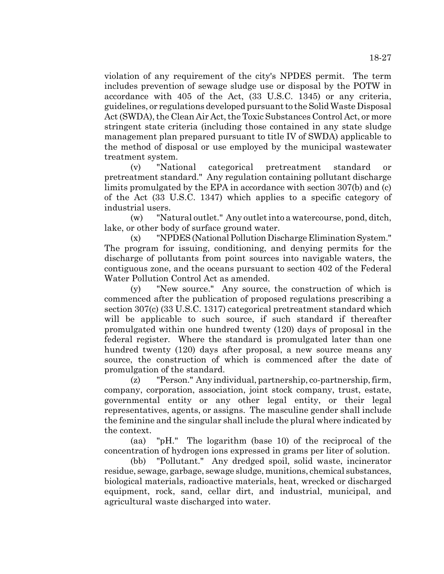violation of any requirement of the city's NPDES permit. The term includes prevention of sewage sludge use or disposal by the POTW in accordance with 405 of the Act, (33 U.S.C. 1345) or any criteria, guidelines, or regulations developed pursuant to the Solid Waste Disposal Act (SWDA), the Clean Air Act, the Toxic Substances Control Act, or more stringent state criteria (including those contained in any state sludge management plan prepared pursuant to title IV of SWDA) applicable to the method of disposal or use employed by the municipal wastewater treatment system.

(v) "National categorical pretreatment standard or pretreatment standard." Any regulation containing pollutant discharge limits promulgated by the EPA in accordance with section 307(b) and (c) of the Act (33 U.S.C. 1347) which applies to a specific category of industrial users.

(w) "Natural outlet." Any outlet into a watercourse, pond, ditch, lake, or other body of surface ground water.

(x) "NPDES (National Pollution Discharge Elimination System." The program for issuing, conditioning, and denying permits for the discharge of pollutants from point sources into navigable waters, the contiguous zone, and the oceans pursuant to section 402 of the Federal Water Pollution Control Act as amended.

(y) "New source." Any source, the construction of which is commenced after the publication of proposed regulations prescribing a section 307(c) (33 U.S.C. 1317) categorical pretreatment standard which will be applicable to such source, if such standard if thereafter promulgated within one hundred twenty (120) days of proposal in the federal register. Where the standard is promulgated later than one hundred twenty (120) days after proposal, a new source means any source, the construction of which is commenced after the date of promulgation of the standard.

(z) "Person." Any individual, partnership, co-partnership, firm, company, corporation, association, joint stock company, trust, estate, governmental entity or any other legal entity, or their legal representatives, agents, or assigns. The masculine gender shall include the feminine and the singular shall include the plural where indicated by the context.

(aa) "pH." The logarithm (base 10) of the reciprocal of the concentration of hydrogen ions expressed in grams per liter of solution.

(bb) "Pollutant." Any dredged spoil, solid waste, incinerator residue, sewage, garbage, sewage sludge, munitions, chemical substances, biological materials, radioactive materials, heat, wrecked or discharged equipment, rock, sand, cellar dirt, and industrial, municipal, and agricultural waste discharged into water.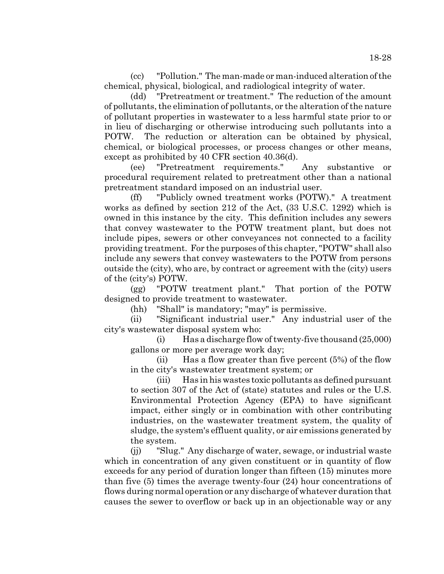(cc) "Pollution." The man-made or man-induced alteration of the chemical, physical, biological, and radiological integrity of water.

(dd) "Pretreatment or treatment." The reduction of the amount of pollutants, the elimination of pollutants, or the alteration of the nature of pollutant properties in wastewater to a less harmful state prior to or in lieu of discharging or otherwise introducing such pollutants into a POTW. The reduction or alteration can be obtained by physical, chemical, or biological processes, or process changes or other means, except as prohibited by 40 CFR section 40.36(d).

(ee) "Pretreatment requirements." Any substantive or procedural requirement related to pretreatment other than a national pretreatment standard imposed on an industrial user.

(ff) "Publicly owned treatment works (POTW)." A treatment works as defined by section 212 of the Act, (33 U.S.C. 1292) which is owned in this instance by the city. This definition includes any sewers that convey wastewater to the POTW treatment plant, but does not include pipes, sewers or other conveyances not connected to a facility providing treatment. For the purposes of this chapter, "POTW" shall also include any sewers that convey wastewaters to the POTW from persons outside the (city), who are, by contract or agreement with the (city) users of the (city's) POTW.

(gg) "POTW treatment plant." That portion of the POTW designed to provide treatment to wastewater.

(hh) "Shall" is mandatory; "may" is permissive.

(ii) "Significant industrial user." Any industrial user of the city's wastewater disposal system who:

(i) Has a discharge flow of twenty-five thousand (25,000) gallons or more per average work day;

(ii) Has a flow greater than five percent (5%) of the flow in the city's wastewater treatment system; or

(iii) Has in his wastes toxic pollutants as defined pursuant to section 307 of the Act of (state) statutes and rules or the U.S. Environmental Protection Agency (EPA) to have significant impact, either singly or in combination with other contributing industries, on the wastewater treatment system, the quality of sludge, the system's effluent quality, or air emissions generated by the system.

(jj) "Slug." Any discharge of water, sewage, or industrial waste which in concentration of any given constituent or in quantity of flow exceeds for any period of duration longer than fifteen (15) minutes more than five (5) times the average twenty-four (24) hour concentrations of flows during normal operation or any discharge of whatever duration that causes the sewer to overflow or back up in an objectionable way or any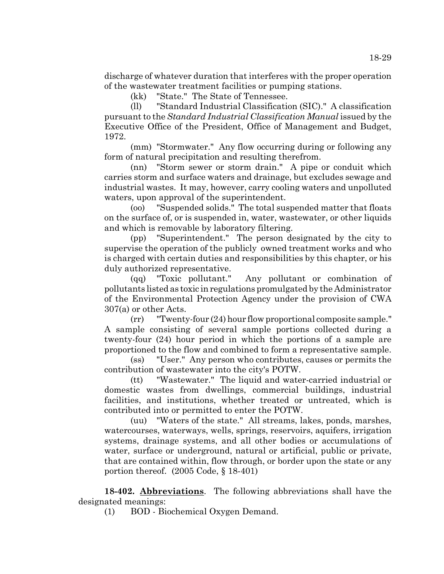discharge of whatever duration that interferes with the proper operation of the wastewater treatment facilities or pumping stations.

(kk) "State." The State of Tennessee.

(ll) "Standard Industrial Classification (SIC)." A classification pursuant to the *Standard Industrial Classification Manual* issued by the Executive Office of the President, Office of Management and Budget, 1972.

(mm) "Stormwater." Any flow occurring during or following any form of natural precipitation and resulting therefrom.

(nn) "Storm sewer or storm drain." A pipe or conduit which carries storm and surface waters and drainage, but excludes sewage and industrial wastes. It may, however, carry cooling waters and unpolluted waters, upon approval of the superintendent.

(oo) "Suspended solids." The total suspended matter that floats on the surface of, or is suspended in, water, wastewater, or other liquids and which is removable by laboratory filtering.

(pp) "Superintendent." The person designated by the city to supervise the operation of the publicly owned treatment works and who is charged with certain duties and responsibilities by this chapter, or his duly authorized representative.

(qq) "Toxic pollutant." Any pollutant or combination of pollutants listed as toxic in regulations promulgated by the Administrator of the Environmental Protection Agency under the provision of CWA 307(a) or other Acts.

(rr) "Twenty-four (24) hour flow proportional composite sample." A sample consisting of several sample portions collected during a twenty-four (24) hour period in which the portions of a sample are proportioned to the flow and combined to form a representative sample.

(ss) "User." Any person who contributes, causes or permits the contribution of wastewater into the city's POTW.

(tt) "Wastewater." The liquid and water-carried industrial or domestic wastes from dwellings, commercial buildings, industrial facilities, and institutions, whether treated or untreated, which is contributed into or permitted to enter the POTW.

(uu) "Waters of the state." All streams, lakes, ponds, marshes, watercourses, waterways, wells, springs, reservoirs, aquifers, irrigation systems, drainage systems, and all other bodies or accumulations of water, surface or underground, natural or artificial, public or private, that are contained within, flow through, or border upon the state or any portion thereof. (2005 Code, § 18-401)

**18-402. Abbreviations**. The following abbreviations shall have the designated meanings:

(1) BOD - Biochemical Oxygen Demand.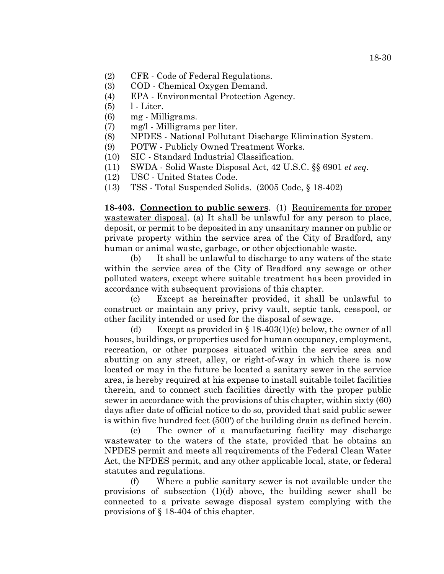- (2) CFR Code of Federal Regulations.
- (3) COD Chemical Oxygen Demand.
- (4) EPA Environmental Protection Agency.
- $(5)$  l Liter.
- (6) mg Milligrams.
- (7) mg/l Milligrams per liter.
- (8) NPDES National Pollutant Discharge Elimination System.
- (9) POTW Publicly Owned Treatment Works.
- (10) SIC Standard Industrial Classification.
- (11) SWDA Solid Waste Disposal Act, 42 U.S.C. §§ 6901 *et seq.*
- (12) USC United States Code.
- (13) TSS Total Suspended Solids. (2005 Code, § 18-402)

**18-403. Connection to public sewers**. (1) Requirements for proper wastewater disposal. (a) It shall be unlawful for any person to place, deposit, or permit to be deposited in any unsanitary manner on public or private property within the service area of the City of Bradford, any human or animal waste, garbage, or other objectionable waste.

(b) It shall be unlawful to discharge to any waters of the state within the service area of the City of Bradford any sewage or other polluted waters, except where suitable treatment has been provided in accordance with subsequent provisions of this chapter.

(c) Except as hereinafter provided, it shall be unlawful to construct or maintain any privy, privy vault, septic tank, cesspool, or other facility intended or used for the disposal of sewage.

(d) Except as provided in  $\S 18-403(1)$ (e) below, the owner of all houses, buildings, or properties used for human occupancy, employment, recreation, or other purposes situated within the service area and abutting on any street, alley, or right-of-way in which there is now located or may in the future be located a sanitary sewer in the service area, is hereby required at his expense to install suitable toilet facilities therein, and to connect such facilities directly with the proper public sewer in accordance with the provisions of this chapter, within sixty (60) days after date of official notice to do so, provided that said public sewer is within five hundred feet (500') of the building drain as defined herein.

(e) The owner of a manufacturing facility may discharge wastewater to the waters of the state, provided that he obtains an NPDES permit and meets all requirements of the Federal Clean Water Act, the NPDES permit, and any other applicable local, state, or federal statutes and regulations.

(f) Where a public sanitary sewer is not available under the provisions of subsection (1)(d) above, the building sewer shall be connected to a private sewage disposal system complying with the provisions of § 18-404 of this chapter.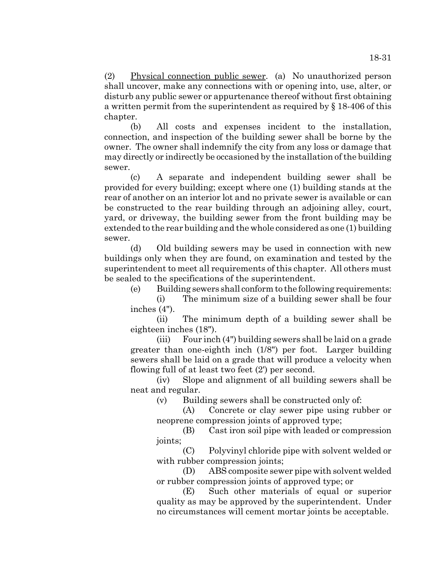(2) Physical connection public sewer. (a) No unauthorized person shall uncover, make any connections with or opening into, use, alter, or disturb any public sewer or appurtenance thereof without first obtaining a written permit from the superintendent as required by § 18-406 of this chapter.

(b) All costs and expenses incident to the installation, connection, and inspection of the building sewer shall be borne by the owner. The owner shall indemnify the city from any loss or damage that may directly or indirectly be occasioned by the installation of the building sewer.

(c) A separate and independent building sewer shall be provided for every building; except where one (1) building stands at the rear of another on an interior lot and no private sewer is available or can be constructed to the rear building through an adjoining alley, court, yard, or driveway, the building sewer from the front building may be extended to the rear building and the whole considered as one (1) building sewer.

(d) Old building sewers may be used in connection with new buildings only when they are found, on examination and tested by the superintendent to meet all requirements of this chapter. All others must be sealed to the specifications of the superintendent.

(e) Building sewers shall conform to the following requirements:

(i) The minimum size of a building sewer shall be four inches (4").

(ii) The minimum depth of a building sewer shall be eighteen inches (18").

(iii) Four inch (4") building sewers shall be laid on a grade greater than one-eighth inch (1/8") per foot. Larger building sewers shall be laid on a grade that will produce a velocity when flowing full of at least two feet (2') per second.

(iv) Slope and alignment of all building sewers shall be neat and regular.

(v) Building sewers shall be constructed only of:

(A) Concrete or clay sewer pipe using rubber or neoprene compression joints of approved type;

(B) Cast iron soil pipe with leaded or compression joints;

(C) Polyvinyl chloride pipe with solvent welded or with rubber compression joints;

(D) ABS composite sewer pipe with solvent welded or rubber compression joints of approved type; or

(E) Such other materials of equal or superior quality as may be approved by the superintendent. Under no circumstances will cement mortar joints be acceptable.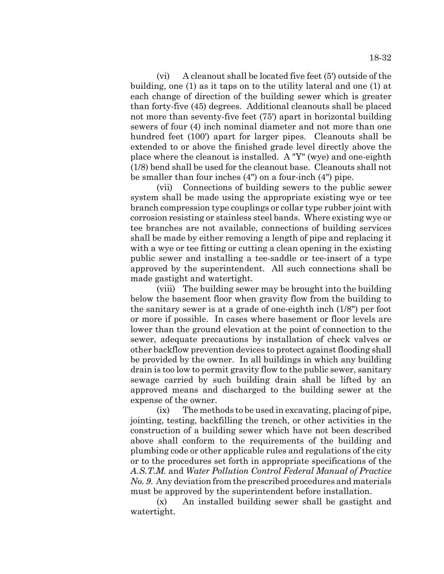(vi) A cleanout shall be located five feet (5') outside of the building, one (1) as it taps on to the utility lateral and one (1) at each change of direction of the building sewer which is greater than forty-five (45) degrees. Additional cleanouts shall be placed not more than seventy-five feet (75') apart in horizontal building sewers of four (4) inch nominal diameter and not more than one hundred feet (100') apart for larger pipes. Cleanouts shall be extended to or above the finished grade level directly above the place where the cleanout is installed. A "Y" (wye) and one-eighth (1/8) bend shall be used for the cleanout base. Cleanouts shall not be smaller than four inches (4") on a four-inch (4") pipe.

(vii) Connections of building sewers to the public sewer system shall be made using the appropriate existing wye or tee branch compression type couplings or collar type rubber joint with corrosion resisting or stainless steel bands. Where existing wye or tee branches are not available, connections of building services shall be made by either removing a length of pipe and replacing it with a wye or tee fitting or cutting a clean opening in the existing public sewer and installing a tee-saddle or tee-insert of a type approved by the superintendent. All such connections shall be made gastight and watertight.

(viii) The building sewer may be brought into the building below the basement floor when gravity flow from the building to the sanitary sewer is at a grade of one-eighth inch (1/8") per foot or more if possible. In cases where basement or floor levels are lower than the ground elevation at the point of connection to the sewer, adequate precautions by installation of check valves or other backflow prevention devices to protect against flooding shall be provided by the owner. In all buildings in which any building drain is too low to permit gravity flow to the public sewer, sanitary sewage carried by such building drain shall be lifted by an approved means and discharged to the building sewer at the expense of the owner.

(ix) The methods to be used in excavating, placing of pipe, jointing, testing, backfilling the trench, or other activities in the construction of a building sewer which have not been described above shall conform to the requirements of the building and plumbing code or other applicable rules and regulations of the city or to the procedures set forth in appropriate specifications of the *A.S.T.M.* and *Water Pollution Control Federal Manual of Practice No. 9*. Any deviation from the prescribed procedures and materials must be approved by the superintendent before installation.

(x) An installed building sewer shall be gastight and watertight.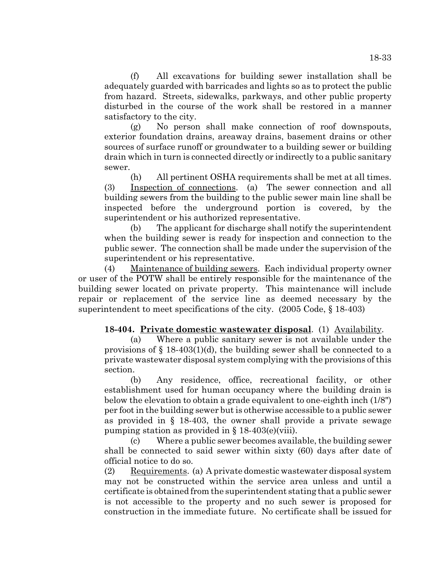(f) All excavations for building sewer installation shall be adequately guarded with barricades and lights so as to protect the public from hazard. Streets, sidewalks, parkways, and other public property disturbed in the course of the work shall be restored in a manner satisfactory to the city.

(g) No person shall make connection of roof downspouts, exterior foundation drains, areaway drains, basement drains or other sources of surface runoff or groundwater to a building sewer or building drain which in turn is connected directly or indirectly to a public sanitary sewer.

(h) All pertinent OSHA requirements shall be met at all times. (3) Inspection of connections. (a) The sewer connection and all building sewers from the building to the public sewer main line shall be inspected before the underground portion is covered, by the superintendent or his authorized representative.

(b) The applicant for discharge shall notify the superintendent when the building sewer is ready for inspection and connection to the public sewer. The connection shall be made under the supervision of the superintendent or his representative.

(4) Maintenance of building sewers. Each individual property owner or user of the POTW shall be entirely responsible for the maintenance of the building sewer located on private property. This maintenance will include repair or replacement of the service line as deemed necessary by the superintendent to meet specifications of the city. (2005 Code, § 18-403)

## **18-404. Private domestic wastewater disposal**. (1) Availability.

(a) Where a public sanitary sewer is not available under the provisions of  $\S$  18-403(1)(d), the building sewer shall be connected to a private wastewater disposal system complying with the provisions of this section.

(b) Any residence, office, recreational facility, or other establishment used for human occupancy where the building drain is below the elevation to obtain a grade equivalent to one-eighth inch (1/8") per foot in the building sewer but is otherwise accessible to a public sewer as provided in § 18-403, the owner shall provide a private sewage pumping station as provided in  $\S 18-403(e)$ (viii).

(c) Where a public sewer becomes available, the building sewer shall be connected to said sewer within sixty (60) days after date of official notice to do so.

(2) Requirements. (a) A private domestic wastewater disposal system may not be constructed within the service area unless and until a certificate is obtained from the superintendent stating that a public sewer is not accessible to the property and no such sewer is proposed for construction in the immediate future. No certificate shall be issued for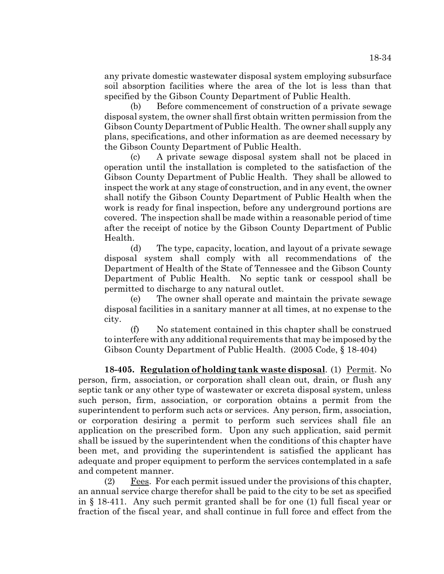any private domestic wastewater disposal system employing subsurface soil absorption facilities where the area of the lot is less than that specified by the Gibson County Department of Public Health.

(b) Before commencement of construction of a private sewage disposal system, the owner shall first obtain written permission from the Gibson County Department of Public Health. The owner shall supply any plans, specifications, and other information as are deemed necessary by the Gibson County Department of Public Health.

(c) A private sewage disposal system shall not be placed in operation until the installation is completed to the satisfaction of the Gibson County Department of Public Health. They shall be allowed to inspect the work at any stage of construction, and in any event, the owner shall notify the Gibson County Department of Public Health when the work is ready for final inspection, before any underground portions are covered. The inspection shall be made within a reasonable period of time after the receipt of notice by the Gibson County Department of Public Health.

(d) The type, capacity, location, and layout of a private sewage disposal system shall comply with all recommendations of the Department of Health of the State of Tennessee and the Gibson County Department of Public Health. No septic tank or cesspool shall be permitted to discharge to any natural outlet.

(e) The owner shall operate and maintain the private sewage disposal facilities in a sanitary manner at all times, at no expense to the city.

(f) No statement contained in this chapter shall be construed to interfere with any additional requirements that may be imposed by the Gibson County Department of Public Health. (2005 Code, § 18-404)

**18-405. Regulation of holding tank waste disposal**. (1) Permit. No person, firm, association, or corporation shall clean out, drain, or flush any septic tank or any other type of wastewater or excreta disposal system, unless such person, firm, association, or corporation obtains a permit from the superintendent to perform such acts or services. Any person, firm, association, or corporation desiring a permit to perform such services shall file an application on the prescribed form. Upon any such application, said permit shall be issued by the superintendent when the conditions of this chapter have been met, and providing the superintendent is satisfied the applicant has adequate and proper equipment to perform the services contemplated in a safe and competent manner.

(2) Fees. For each permit issued under the provisions of this chapter, an annual service charge therefor shall be paid to the city to be set as specified in § 18-411. Any such permit granted shall be for one (1) full fiscal year or fraction of the fiscal year, and shall continue in full force and effect from the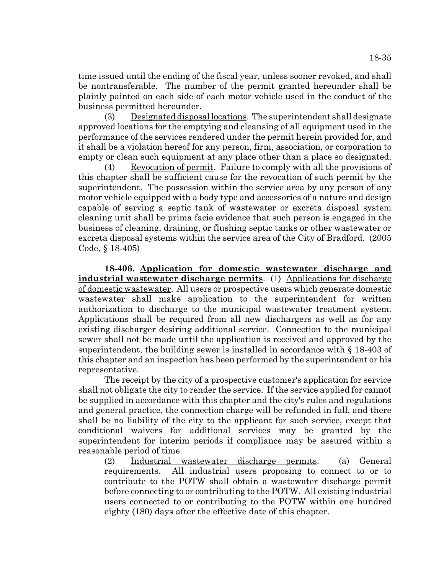time issued until the ending of the fiscal year, unless sooner revoked, and shall be nontransferable. The number of the permit granted hereunder shall be plainly painted on each side of each motor vehicle used in the conduct of the business permitted hereunder.

(3) Designated disposal locations. The superintendent shall designate approved locations for the emptying and cleansing of all equipment used in the performance of the services rendered under the permit herein provided for, and it shall be a violation hereof for any person, firm, association, or corporation to empty or clean such equipment at any place other than a place so designated.

(4) Revocation of permit. Failure to comply with all the provisions of this chapter shall be sufficient cause for the revocation of such permit by the superintendent. The possession within the service area by any person of any motor vehicle equipped with a body type and accessories of a nature and design capable of serving a septic tank of wastewater or excreta disposal system cleaning unit shall be prima facie evidence that such person is engaged in the business of cleaning, draining, or flushing septic tanks or other wastewater or excreta disposal systems within the service area of the City of Bradford. (2005 Code, § 18-405)

**18-406. Application for domestic wastewater discharge and industrial wastewater discharge permits**. (1) Applications for discharge of domestic wastewater. All users or prospective users which generate domestic wastewater shall make application to the superintendent for written authorization to discharge to the municipal wastewater treatment system. Applications shall be required from all new dischargers as well as for any existing discharger desiring additional service. Connection to the municipal sewer shall not be made until the application is received and approved by the superintendent, the building sewer is installed in accordance with § 18-403 of this chapter and an inspection has been performed by the superintendent or his representative.

The receipt by the city of a prospective customer's application for service shall not obligate the city to render the service. If the service applied for cannot be supplied in accordance with this chapter and the city's rules and regulations and general practice, the connection charge will be refunded in full, and there shall be no liability of the city to the applicant for such service, except that conditional waivers for additional services may be granted by the superintendent for interim periods if compliance may be assured within a reasonable period of time.

(2) Industrial wastewater discharge permits. (a) General requirements. All industrial users proposing to connect to or to contribute to the POTW shall obtain a wastewater discharge permit before connecting to or contributing to the POTW. All existing industrial users connected to or contributing to the POTW within one hundred eighty (180) days after the effective date of this chapter.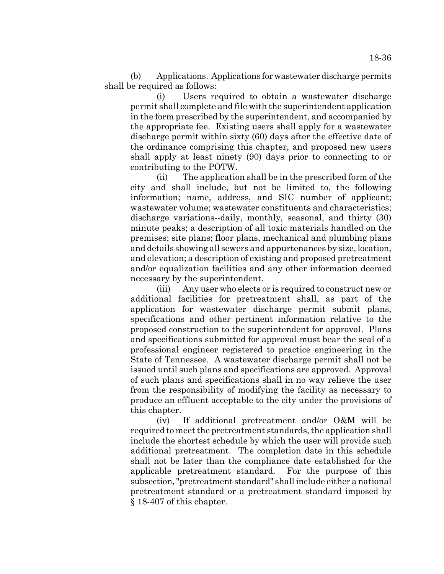(b) Applications. Applications for wastewater discharge permits shall be required as follows:

(i) Users required to obtain a wastewater discharge permit shall complete and file with the superintendent application in the form prescribed by the superintendent, and accompanied by the appropriate fee. Existing users shall apply for a wastewater discharge permit within sixty (60) days after the effective date of the ordinance comprising this chapter, and proposed new users shall apply at least ninety (90) days prior to connecting to or contributing to the POTW.

(ii) The application shall be in the prescribed form of the city and shall include, but not be limited to, the following information; name, address, and SIC number of applicant; wastewater volume; wastewater constituents and characteristics; discharge variations--daily, monthly, seasonal, and thirty (30) minute peaks; a description of all toxic materials handled on the premises; site plans; floor plans, mechanical and plumbing plans and details showing all sewers and appurtenances by size, location, and elevation; a description of existing and proposed pretreatment and/or equalization facilities and any other information deemed necessary by the superintendent.

(iii) Any user who elects or is required to construct new or additional facilities for pretreatment shall, as part of the application for wastewater discharge permit submit plans, specifications and other pertinent information relative to the proposed construction to the superintendent for approval. Plans and specifications submitted for approval must bear the seal of a professional engineer registered to practice engineering in the State of Tennessee. A wastewater discharge permit shall not be issued until such plans and specifications are approved. Approval of such plans and specifications shall in no way relieve the user from the responsibility of modifying the facility as necessary to produce an effluent acceptable to the city under the provisions of this chapter.

(iv) If additional pretreatment and/or O&M will be required to meet the pretreatment standards, the application shall include the shortest schedule by which the user will provide such additional pretreatment. The completion date in this schedule shall not be later than the compliance date established for the applicable pretreatment standard. For the purpose of this subsection, "pretreatment standard" shall include either a national pretreatment standard or a pretreatment standard imposed by § 18-407 of this chapter.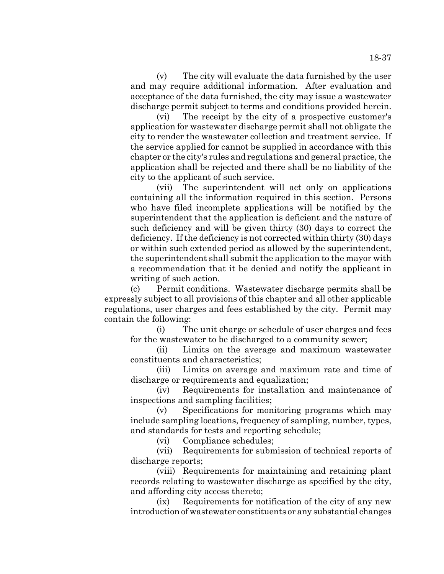(v) The city will evaluate the data furnished by the user and may require additional information. After evaluation and acceptance of the data furnished, the city may issue a wastewater discharge permit subject to terms and conditions provided herein.

(vi) The receipt by the city of a prospective customer's application for wastewater discharge permit shall not obligate the city to render the wastewater collection and treatment service. If the service applied for cannot be supplied in accordance with this chapter or the city's rules and regulations and general practice, the application shall be rejected and there shall be no liability of the city to the applicant of such service.

(vii) The superintendent will act only on applications containing all the information required in this section. Persons who have filed incomplete applications will be notified by the superintendent that the application is deficient and the nature of such deficiency and will be given thirty (30) days to correct the deficiency. If the deficiency is not corrected within thirty (30) days or within such extended period as allowed by the superintendent, the superintendent shall submit the application to the mayor with a recommendation that it be denied and notify the applicant in writing of such action.

(c) Permit conditions. Wastewater discharge permits shall be expressly subject to all provisions of this chapter and all other applicable regulations, user charges and fees established by the city. Permit may contain the following:

(i) The unit charge or schedule of user charges and fees for the wastewater to be discharged to a community sewer;

(ii) Limits on the average and maximum wastewater constituents and characteristics;

(iii) Limits on average and maximum rate and time of discharge or requirements and equalization;

(iv) Requirements for installation and maintenance of inspections and sampling facilities;

(v) Specifications for monitoring programs which may include sampling locations, frequency of sampling, number, types, and standards for tests and reporting schedule;

(vi) Compliance schedules;

(vii) Requirements for submission of technical reports of discharge reports;

(viii) Requirements for maintaining and retaining plant records relating to wastewater discharge as specified by the city, and affording city access thereto;

(ix) Requirements for notification of the city of any new introduction of wastewater constituents or any substantial changes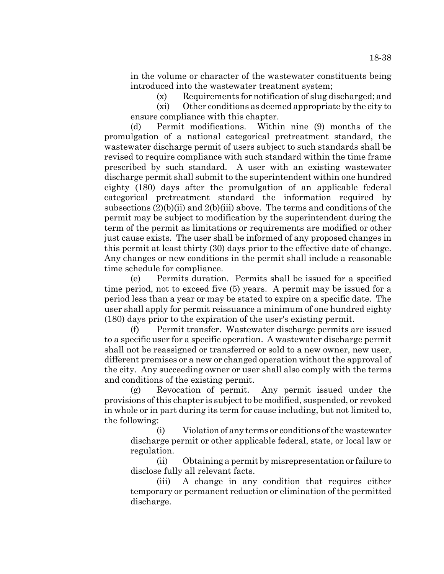in the volume or character of the wastewater constituents being introduced into the wastewater treatment system;

(x) Requirements for notification of slug discharged; and (xi) Other conditions as deemed appropriate by the city to

ensure compliance with this chapter.

(d) Permit modifications. Within nine (9) months of the promulgation of a national categorical pretreatment standard, the wastewater discharge permit of users subject to such standards shall be revised to require compliance with such standard within the time frame prescribed by such standard. A user with an existing wastewater discharge permit shall submit to the superintendent within one hundred eighty (180) days after the promulgation of an applicable federal categorical pretreatment standard the information required by subsections  $(2)(b)(ii)$  and  $2(b)(iii)$  above. The terms and conditions of the permit may be subject to modification by the superintendent during the term of the permit as limitations or requirements are modified or other just cause exists. The user shall be informed of any proposed changes in this permit at least thirty (30) days prior to the effective date of change. Any changes or new conditions in the permit shall include a reasonable time schedule for compliance.

(e) Permits duration. Permits shall be issued for a specified time period, not to exceed five (5) years. A permit may be issued for a period less than a year or may be stated to expire on a specific date. The user shall apply for permit reissuance a minimum of one hundred eighty (180) days prior to the expiration of the user's existing permit.

(f) Permit transfer. Wastewater discharge permits are issued to a specific user for a specific operation. A wastewater discharge permit shall not be reassigned or transferred or sold to a new owner, new user, different premises or a new or changed operation without the approval of the city. Any succeeding owner or user shall also comply with the terms and conditions of the existing permit.

(g) Revocation of permit. Any permit issued under the provisions of this chapter is subject to be modified, suspended, or revoked in whole or in part during its term for cause including, but not limited to, the following:

(i) Violation of any terms or conditions of the wastewater discharge permit or other applicable federal, state, or local law or regulation.

(ii) Obtaining a permit by misrepresentation or failure to disclose fully all relevant facts.

(iii) A change in any condition that requires either temporary or permanent reduction or elimination of the permitted discharge.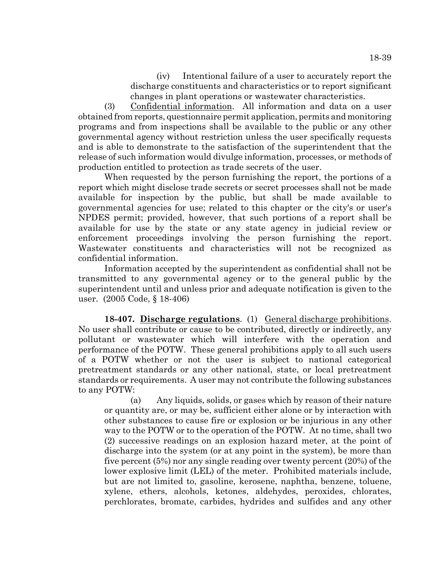(iv) Intentional failure of a user to accurately report the discharge constituents and characteristics or to report significant changes in plant operations or wastewater characteristics.

(3) Confidential information. All information and data on a user obtained from reports, questionnaire permit application, permits and monitoring programs and from inspections shall be available to the public or any other governmental agency without restriction unless the user specifically requests and is able to demonstrate to the satisfaction of the superintendent that the release of such information would divulge information, processes, or methods of production entitled to protection as trade secrets of the user.

When requested by the person furnishing the report, the portions of a report which might disclose trade secrets or secret processes shall not be made available for inspection by the public, but shall be made available to governmental agencies for use; related to this chapter or the city's or user's NPDES permit; provided, however, that such portions of a report shall be available for use by the state or any state agency in judicial review or enforcement proceedings involving the person furnishing the report. Wastewater constituents and characteristics will not be recognized as confidential information.

Information accepted by the superintendent as confidential shall not be transmitted to any governmental agency or to the general public by the superintendent until and unless prior and adequate notification is given to the user. (2005 Code, § 18-406)

**18-407. Discharge regulations**. (1) General discharge prohibitions. No user shall contribute or cause to be contributed, directly or indirectly, any pollutant or wastewater which will interfere with the operation and performance of the POTW. These general prohibitions apply to all such users of a POTW whether or not the user is subject to national categorical pretreatment standards or any other national, state, or local pretreatment standards or requirements. A user may not contribute the following substances to any POTW:

(a) Any liquids, solids, or gases which by reason of their nature or quantity are, or may be, sufficient either alone or by interaction with other substances to cause fire or explosion or be injurious in any other way to the POTW or to the operation of the POTW. At no time, shall two (2) successive readings on an explosion hazard meter, at the point of discharge into the system (or at any point in the system), be more than five percent (5%) nor any single reading over twenty percent (20%) of the lower explosive limit (LEL) of the meter. Prohibited materials include, but are not limited to, gasoline, kerosene, naphtha, benzene, toluene, xylene, ethers, alcohols, ketones, aldehydes, peroxides, chlorates, perchlorates, bromate, carbides, hydrides and sulfides and any other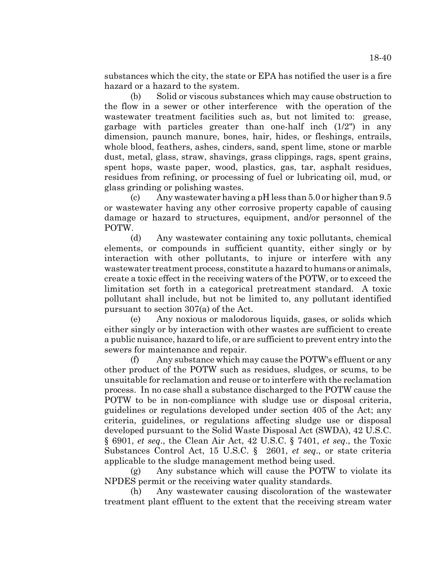substances which the city, the state or EPA has notified the user is a fire hazard or a hazard to the system.

(b) Solid or viscous substances which may cause obstruction to the flow in a sewer or other interference with the operation of the wastewater treatment facilities such as, but not limited to: grease, garbage with particles greater than one-half inch (1/2") in any dimension, paunch manure, bones, hair, hides, or fleshings, entrails, whole blood, feathers, ashes, cinders, sand, spent lime, stone or marble dust, metal, glass, straw, shavings, grass clippings, rags, spent grains, spent hops, waste paper, wood, plastics, gas, tar, asphalt residues, residues from refining, or processing of fuel or lubricating oil, mud, or glass grinding or polishing wastes.

(c) Any wastewater having a pH less than 5.0 or higher than 9.5 or wastewater having any other corrosive property capable of causing damage or hazard to structures, equipment, and/or personnel of the POTW.

(d) Any wastewater containing any toxic pollutants, chemical elements, or compounds in sufficient quantity, either singly or by interaction with other pollutants, to injure or interfere with any wastewater treatment process, constitute a hazard to humans or animals, create a toxic effect in the receiving waters of the POTW, or to exceed the limitation set forth in a categorical pretreatment standard. A toxic pollutant shall include, but not be limited to, any pollutant identified pursuant to section 307(a) of the Act.

(e) Any noxious or malodorous liquids, gases, or solids which either singly or by interaction with other wastes are sufficient to create a public nuisance, hazard to life, or are sufficient to prevent entry into the sewers for maintenance and repair.

(f) Any substance which may cause the POTW's effluent or any other product of the POTW such as residues, sludges, or scums, to be unsuitable for reclamation and reuse or to interfere with the reclamation process. In no case shall a substance discharged to the POTW cause the POTW to be in non-compliance with sludge use or disposal criteria, guidelines or regulations developed under section 405 of the Act; any criteria, guidelines, or regulations affecting sludge use or disposal developed pursuant to the Solid Waste Disposal Act (SWDA), 42 U.S.C. § 6901, *et seq*., the Clean Air Act, 42 U.S.C. § 7401, *et seq*., the Toxic Substances Control Act, 15 U.S.C. § 2601, *et seq*., or state criteria applicable to the sludge management method being used.

(g) Any substance which will cause the POTW to violate its NPDES permit or the receiving water quality standards.

(h) Any wastewater causing discoloration of the wastewater treatment plant effluent to the extent that the receiving stream water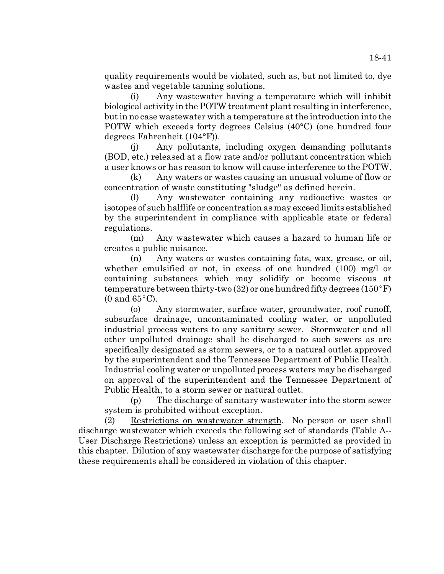quality requirements would be violated, such as, but not limited to, dye wastes and vegetable tanning solutions.

(i) Any wastewater having a temperature which will inhibit biological activity in the POTW treatment plant resulting in interference, but in no case wastewater with a temperature at the introduction into the POTW which exceeds forty degrees Celsius (40°C) (one hundred four degrees Fahrenheit (104°F)).

(j) Any pollutants, including oxygen demanding pollutants (BOD, etc.) released at a flow rate and/or pollutant concentration which a user knows or has reason to know will cause interference to the POTW.

(k) Any waters or wastes causing an unusual volume of flow or concentration of waste constituting "sludge" as defined herein.

(l) Any wastewater containing any radioactive wastes or isotopes of such halflife or concentration as may exceed limits established by the superintendent in compliance with applicable state or federal regulations.

(m) Any wastewater which causes a hazard to human life or creates a public nuisance.

(n) Any waters or wastes containing fats, wax, grease, or oil, whether emulsified or not, in excess of one hundred (100) mg/l or containing substances which may solidify or become viscous at temperature between thirty-two (32) or one hundred fifty degrees (150 $\degree$ F) (0 and  $65^{\circ}$ C).

(o) Any stormwater, surface water, groundwater, roof runoff, subsurface drainage, uncontaminated cooling water, or unpolluted industrial process waters to any sanitary sewer. Stormwater and all other unpolluted drainage shall be discharged to such sewers as are specifically designated as storm sewers, or to a natural outlet approved by the superintendent and the Tennessee Department of Public Health. Industrial cooling water or unpolluted process waters may be discharged on approval of the superintendent and the Tennessee Department of Public Health, to a storm sewer or natural outlet.

(p) The discharge of sanitary wastewater into the storm sewer system is prohibited without exception.

(2) Restrictions on wastewater strength. No person or user shall discharge wastewater which exceeds the following set of standards (Table A-- User Discharge Restrictions) unless an exception is permitted as provided in this chapter. Dilution of any wastewater discharge for the purpose of satisfying these requirements shall be considered in violation of this chapter.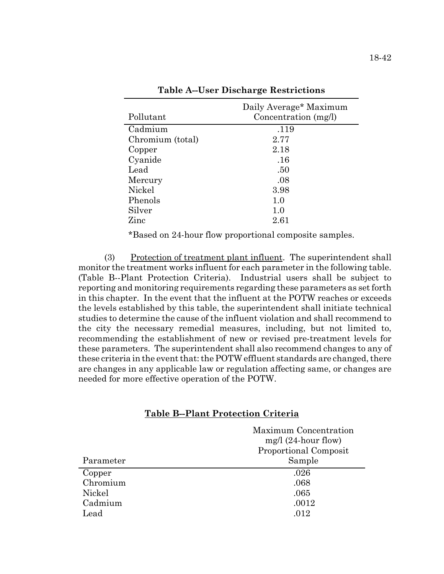| Pollutant        | Daily Average* Maximum<br>Concentration (mg/l) |
|------------------|------------------------------------------------|
| Cadmium          | .119                                           |
| Chromium (total) | 2.77                                           |
| Copper           | 2.18                                           |
| Cyanide          | .16                                            |
| Lead             | .50                                            |
| Mercury          | .08                                            |
| Nickel           | 3.98                                           |
| Phenols          | 1.0                                            |
| Silver           | 1.0                                            |
| Zinc             | $2.61\,$                                       |

**Table A--User Discharge Restrictions**

\*Based on 24-hour flow proportional composite samples.

(3) Protection of treatment plant influent. The superintendent shall monitor the treatment works influent for each parameter in the following table. (Table B--Plant Protection Criteria). Industrial users shall be subject to reporting and monitoring requirements regarding these parameters as set forth in this chapter. In the event that the influent at the POTW reaches or exceeds the levels established by this table, the superintendent shall initiate technical studies to determine the cause of the influent violation and shall recommend to the city the necessary remedial measures, including, but not limited to, recommending the establishment of new or revised pre-treatment levels for these parameters. The superintendent shall also recommend changes to any of these criteria in the event that: the POTW effluent standards are changed, there are changes in any applicable law or regulation affecting same, or changes are needed for more effective operation of the POTW.

|           | Maximum Concentration  |  |
|-----------|------------------------|--|
|           | mg/l $(24$ -hour flow) |  |
|           | Proportional Composit  |  |
| Parameter | Sample                 |  |
| Copper    | .026                   |  |
| Chromium  | .068                   |  |
| Nickel    | .065                   |  |
| Cadmium   | .0012                  |  |
| Lead      | .012                   |  |

### **Table B--Plant Protection Criteria**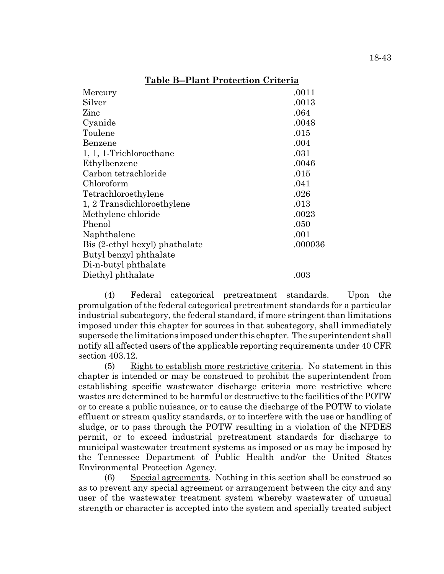| Mercury                        | .0011   |
|--------------------------------|---------|
| Silver                         | .0013   |
| Zinc                           | .064    |
| Cyanide                        | .0048   |
| Toulene                        | .015    |
| Benzene                        | .004    |
| 1, 1, 1-Trichloroethane        | .031    |
| Ethylbenzene                   | .0046   |
| Carbon tetrachloride           | .015    |
| Chloroform                     | .041    |
| Tetrachloroethylene            | .026    |
| 1, 2 Transdichloroethylene     | .013    |
| Methylene chloride             | .0023   |
| Phenol                         | .050    |
| Naphthalene                    | .001    |
| Bis (2-ethyl hexyl) phathalate | .000036 |
| Butyl benzyl phthalate         |         |
| Di-n-butyl phthalate           |         |
| Diethyl phthalate              | .003    |
|                                |         |

## **Table B--Plant Protection Criteria**

(4) Federal categorical pretreatment standards. Upon the promulgation of the federal categorical pretreatment standards for a particular industrial subcategory, the federal standard, if more stringent than limitations imposed under this chapter for sources in that subcategory, shall immediately supersede the limitations imposed under this chapter. The superintendent shall notify all affected users of the applicable reporting requirements under 40 CFR section 403.12.

(5) Right to establish more restrictive criteria. No statement in this chapter is intended or may be construed to prohibit the superintendent from establishing specific wastewater discharge criteria more restrictive where wastes are determined to be harmful or destructive to the facilities of the POTW or to create a public nuisance, or to cause the discharge of the POTW to violate effluent or stream quality standards, or to interfere with the use or handling of sludge, or to pass through the POTW resulting in a violation of the NPDES permit, or to exceed industrial pretreatment standards for discharge to municipal wastewater treatment systems as imposed or as may be imposed by the Tennessee Department of Public Health and/or the United States Environmental Protection Agency.

(6) Special agreements. Nothing in this section shall be construed so as to prevent any special agreement or arrangement between the city and any user of the wastewater treatment system whereby wastewater of unusual strength or character is accepted into the system and specially treated subject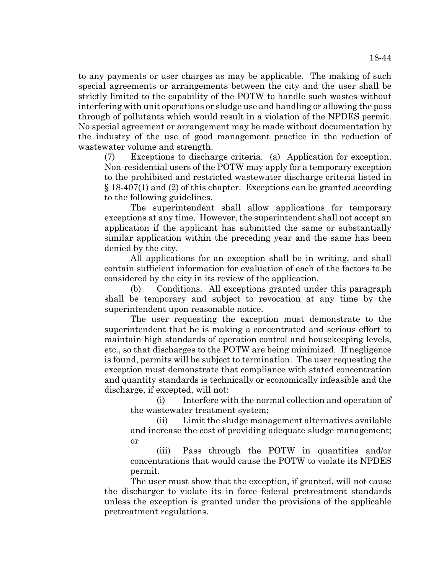to any payments or user charges as may be applicable. The making of such special agreements or arrangements between the city and the user shall be strictly limited to the capability of the POTW to handle such wastes without interfering with unit operations or sludge use and handling or allowing the pass through of pollutants which would result in a violation of the NPDES permit. No special agreement or arrangement may be made without documentation by the industry of the use of good management practice in the reduction of wastewater volume and strength.

(7) Exceptions to discharge criteria. (a) Application for exception. Non-residential users of the POTW may apply for a temporary exception to the prohibited and restricted wastewater discharge criteria listed in § 18-407(1) and (2) of this chapter. Exceptions can be granted according to the following guidelines.

The superintendent shall allow applications for temporary exceptions at any time. However, the superintendent shall not accept an application if the applicant has submitted the same or substantially similar application within the preceding year and the same has been denied by the city.

All applications for an exception shall be in writing, and shall contain sufficient information for evaluation of each of the factors to be considered by the city in its review of the application.

(b) Conditions. All exceptions granted under this paragraph shall be temporary and subject to revocation at any time by the superintendent upon reasonable notice.

The user requesting the exception must demonstrate to the superintendent that he is making a concentrated and serious effort to maintain high standards of operation control and housekeeping levels, etc., so that discharges to the POTW are being minimized. If negligence is found, permits will be subject to termination. The user requesting the exception must demonstrate that compliance with stated concentration and quantity standards is technically or economically infeasible and the discharge, if excepted, will not:

(i) Interfere with the normal collection and operation of the wastewater treatment system;

(ii) Limit the sludge management alternatives available and increase the cost of providing adequate sludge management; or

(iii) Pass through the POTW in quantities and/or concentrations that would cause the POTW to violate its NPDES permit.

The user must show that the exception, if granted, will not cause the discharger to violate its in force federal pretreatment standards unless the exception is granted under the provisions of the applicable pretreatment regulations.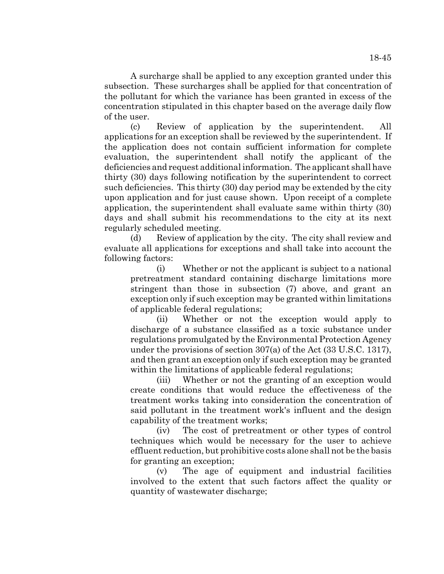A surcharge shall be applied to any exception granted under this subsection. These surcharges shall be applied for that concentration of the pollutant for which the variance has been granted in excess of the concentration stipulated in this chapter based on the average daily flow of the user.

(c) Review of application by the superintendent. All applications for an exception shall be reviewed by the superintendent. If the application does not contain sufficient information for complete evaluation, the superintendent shall notify the applicant of the deficiencies and request additional information. The applicant shall have thirty (30) days following notification by the superintendent to correct such deficiencies. This thirty (30) day period may be extended by the city upon application and for just cause shown. Upon receipt of a complete application, the superintendent shall evaluate same within thirty (30) days and shall submit his recommendations to the city at its next regularly scheduled meeting.

(d) Review of application by the city. The city shall review and evaluate all applications for exceptions and shall take into account the following factors:

(i) Whether or not the applicant is subject to a national pretreatment standard containing discharge limitations more stringent than those in subsection (7) above, and grant an exception only if such exception may be granted within limitations of applicable federal regulations;

(ii) Whether or not the exception would apply to discharge of a substance classified as a toxic substance under regulations promulgated by the Environmental Protection Agency under the provisions of section 307(a) of the Act (33 U.S.C. 1317), and then grant an exception only if such exception may be granted within the limitations of applicable federal regulations;

(iii) Whether or not the granting of an exception would create conditions that would reduce the effectiveness of the treatment works taking into consideration the concentration of said pollutant in the treatment work's influent and the design capability of the treatment works;

(iv) The cost of pretreatment or other types of control techniques which would be necessary for the user to achieve effluent reduction, but prohibitive costs alone shall not be the basis for granting an exception;

(v) The age of equipment and industrial facilities involved to the extent that such factors affect the quality or quantity of wastewater discharge;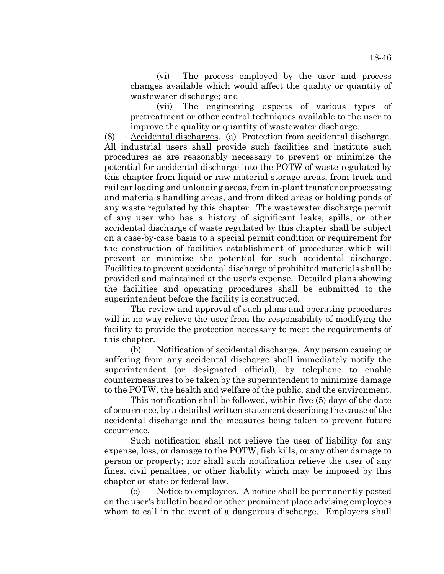(vi) The process employed by the user and process changes available which would affect the quality or quantity of wastewater discharge; and

(vii) The engineering aspects of various types of pretreatment or other control techniques available to the user to improve the quality or quantity of wastewater discharge.

(8) Accidental discharges. (a) Protection from accidental discharge. All industrial users shall provide such facilities and institute such procedures as are reasonably necessary to prevent or minimize the potential for accidental discharge into the POTW of waste regulated by this chapter from liquid or raw material storage areas, from truck and rail car loading and unloading areas, from in-plant transfer or processing and materials handling areas, and from diked areas or holding ponds of any waste regulated by this chapter. The wastewater discharge permit of any user who has a history of significant leaks, spills, or other accidental discharge of waste regulated by this chapter shall be subject on a case-by-case basis to a special permit condition or requirement for the construction of facilities establishment of procedures which will prevent or minimize the potential for such accidental discharge. Facilities to prevent accidental discharge of prohibited materials shall be provided and maintained at the user's expense. Detailed plans showing the facilities and operating procedures shall be submitted to the superintendent before the facility is constructed.

The review and approval of such plans and operating procedures will in no way relieve the user from the responsibility of modifying the facility to provide the protection necessary to meet the requirements of this chapter.

(b) Notification of accidental discharge. Any person causing or suffering from any accidental discharge shall immediately notify the superintendent (or designated official), by telephone to enable countermeasures to be taken by the superintendent to minimize damage to the POTW, the health and welfare of the public, and the environment.

This notification shall be followed, within five (5) days of the date of occurrence, by a detailed written statement describing the cause of the accidental discharge and the measures being taken to prevent future occurrence.

Such notification shall not relieve the user of liability for any expense, loss, or damage to the POTW, fish kills, or any other damage to person or property; nor shall such notification relieve the user of any fines, civil penalties, or other liability which may be imposed by this chapter or state or federal law.

(c) Notice to employees. A notice shall be permanently posted on the user's bulletin board or other prominent place advising employees whom to call in the event of a dangerous discharge. Employers shall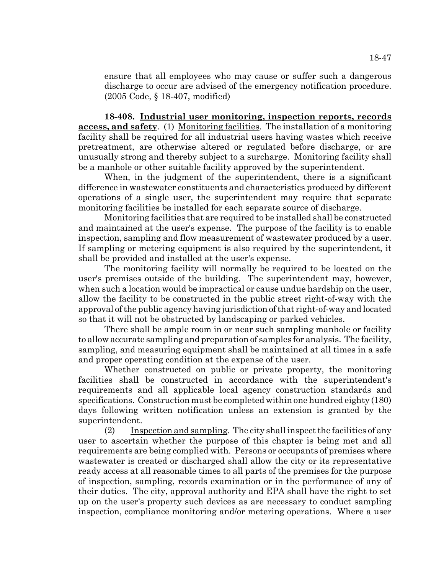ensure that all employees who may cause or suffer such a dangerous discharge to occur are advised of the emergency notification procedure. (2005 Code, § 18-407, modified)

**18-408. Industrial user monitoring, inspection reports, records access, and safety**. (1) Monitoring facilities. The installation of a monitoring facility shall be required for all industrial users having wastes which receive pretreatment, are otherwise altered or regulated before discharge, or are unusually strong and thereby subject to a surcharge. Monitoring facility shall be a manhole or other suitable facility approved by the superintendent.

When, in the judgment of the superintendent, there is a significant difference in wastewater constituents and characteristics produced by different operations of a single user, the superintendent may require that separate monitoring facilities be installed for each separate source of discharge.

Monitoring facilities that are required to be installed shall be constructed and maintained at the user's expense. The purpose of the facility is to enable inspection, sampling and flow measurement of wastewater produced by a user. If sampling or metering equipment is also required by the superintendent, it shall be provided and installed at the user's expense.

The monitoring facility will normally be required to be located on the user's premises outside of the building. The superintendent may, however, when such a location would be impractical or cause undue hardship on the user, allow the facility to be constructed in the public street right-of-way with the approval of the public agency having jurisdiction of that right-of-way and located so that it will not be obstructed by landscaping or parked vehicles.

There shall be ample room in or near such sampling manhole or facility to allow accurate sampling and preparation of samples for analysis. The facility, sampling, and measuring equipment shall be maintained at all times in a safe and proper operating condition at the expense of the user.

Whether constructed on public or private property, the monitoring facilities shall be constructed in accordance with the superintendent's requirements and all applicable local agency construction standards and specifications. Construction must be completed within one hundred eighty (180) days following written notification unless an extension is granted by the superintendent.

(2) Inspection and sampling. The city shall inspect the facilities of any user to ascertain whether the purpose of this chapter is being met and all requirements are being complied with. Persons or occupants of premises where wastewater is created or discharged shall allow the city or its representative ready access at all reasonable times to all parts of the premises for the purpose of inspection, sampling, records examination or in the performance of any of their duties. The city, approval authority and EPA shall have the right to set up on the user's property such devices as are necessary to conduct sampling inspection, compliance monitoring and/or metering operations. Where a user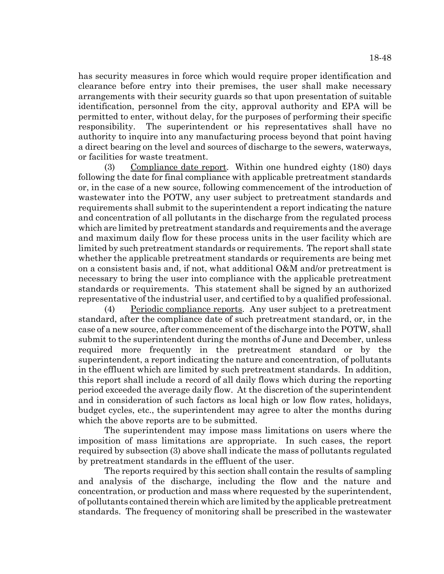has security measures in force which would require proper identification and clearance before entry into their premises, the user shall make necessary arrangements with their security guards so that upon presentation of suitable identification, personnel from the city, approval authority and EPA will be permitted to enter, without delay, for the purposes of performing their specific responsibility. The superintendent or his representatives shall have no authority to inquire into any manufacturing process beyond that point having a direct bearing on the level and sources of discharge to the sewers, waterways, or facilities for waste treatment.

(3) Compliance date report. Within one hundred eighty (180) days following the date for final compliance with applicable pretreatment standards or, in the case of a new source, following commencement of the introduction of wastewater into the POTW, any user subject to pretreatment standards and requirements shall submit to the superintendent a report indicating the nature and concentration of all pollutants in the discharge from the regulated process which are limited by pretreatment standards and requirements and the average and maximum daily flow for these process units in the user facility which are limited by such pretreatment standards or requirements. The report shall state whether the applicable pretreatment standards or requirements are being met on a consistent basis and, if not, what additional O&M and/or pretreatment is necessary to bring the user into compliance with the applicable pretreatment standards or requirements. This statement shall be signed by an authorized representative of the industrial user, and certified to by a qualified professional.

(4) Periodic compliance reports. Any user subject to a pretreatment standard, after the compliance date of such pretreatment standard, or, in the case of a new source, after commencement of the discharge into the POTW, shall submit to the superintendent during the months of June and December, unless required more frequently in the pretreatment standard or by the superintendent, a report indicating the nature and concentration, of pollutants in the effluent which are limited by such pretreatment standards. In addition, this report shall include a record of all daily flows which during the reporting period exceeded the average daily flow. At the discretion of the superintendent and in consideration of such factors as local high or low flow rates, holidays, budget cycles, etc., the superintendent may agree to alter the months during which the above reports are to be submitted.

The superintendent may impose mass limitations on users where the imposition of mass limitations are appropriate. In such cases, the report required by subsection (3) above shall indicate the mass of pollutants regulated by pretreatment standards in the effluent of the user.

The reports required by this section shall contain the results of sampling and analysis of the discharge, including the flow and the nature and concentration, or production and mass where requested by the superintendent, of pollutants contained therein which are limited by the applicable pretreatment standards. The frequency of monitoring shall be prescribed in the wastewater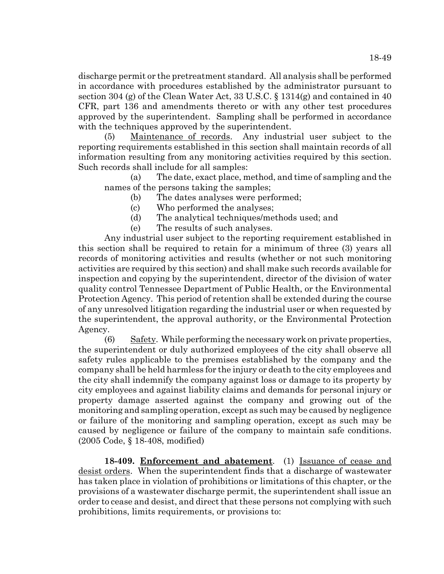discharge permit or the pretreatment standard. All analysis shall be performed in accordance with procedures established by the administrator pursuant to section 304 (g) of the Clean Water Act, 33 U.S.C. § 1314(g) and contained in 40 CFR, part 136 and amendments thereto or with any other test procedures approved by the superintendent. Sampling shall be performed in accordance with the techniques approved by the superintendent.

(5) Maintenance of records. Any industrial user subject to the reporting requirements established in this section shall maintain records of all information resulting from any monitoring activities required by this section. Such records shall include for all samples:

(a) The date, exact place, method, and time of sampling and the names of the persons taking the samples;

- (b) The dates analyses were performed;
- (c) Who performed the analyses;
- (d) The analytical techniques/methods used; and

(e) The results of such analyses.

Any industrial user subject to the reporting requirement established in this section shall be required to retain for a minimum of three (3) years all records of monitoring activities and results (whether or not such monitoring activities are required by this section) and shall make such records available for inspection and copying by the superintendent, director of the division of water quality control Tennessee Department of Public Health, or the Environmental Protection Agency. This period of retention shall be extended during the course of any unresolved litigation regarding the industrial user or when requested by the superintendent, the approval authority, or the Environmental Protection Agency.

(6) Safety. While performing the necessary work on private properties, the superintendent or duly authorized employees of the city shall observe all safety rules applicable to the premises established by the company and the company shall be held harmless for the injury or death to the city employees and the city shall indemnify the company against loss or damage to its property by city employees and against liability claims and demands for personal injury or property damage asserted against the company and growing out of the monitoring and sampling operation, except as such may be caused by negligence or failure of the monitoring and sampling operation, except as such may be caused by negligence or failure of the company to maintain safe conditions. (2005 Code, § 18-408, modified)

**18-409. Enforcement and abatement**. (1) Issuance of cease and desist orders. When the superintendent finds that a discharge of wastewater has taken place in violation of prohibitions or limitations of this chapter, or the provisions of a wastewater discharge permit, the superintendent shall issue an order to cease and desist, and direct that these persons not complying with such prohibitions, limits requirements, or provisions to: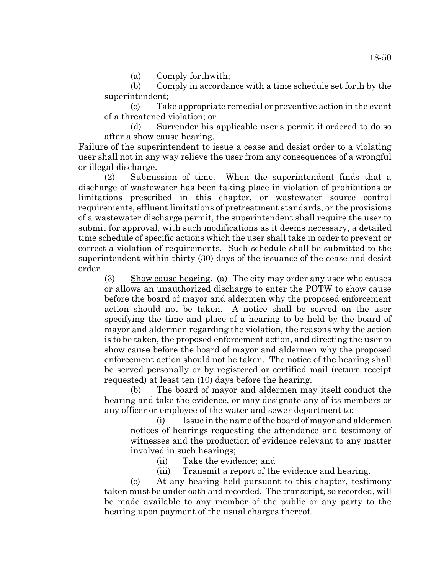(a) Comply forthwith;

(b) Comply in accordance with a time schedule set forth by the superintendent;

(c) Take appropriate remedial or preventive action in the event of a threatened violation; or

(d) Surrender his applicable user's permit if ordered to do so after a show cause hearing.

Failure of the superintendent to issue a cease and desist order to a violating user shall not in any way relieve the user from any consequences of a wrongful or illegal discharge.

(2) Submission of time. When the superintendent finds that a discharge of wastewater has been taking place in violation of prohibitions or limitations prescribed in this chapter, or wastewater source control requirements, effluent limitations of pretreatment standards, or the provisions of a wastewater discharge permit, the superintendent shall require the user to submit for approval, with such modifications as it deems necessary, a detailed time schedule of specific actions which the user shall take in order to prevent or correct a violation of requirements. Such schedule shall be submitted to the superintendent within thirty (30) days of the issuance of the cease and desist order.

(3) Show cause hearing. (a) The city may order any user who causes or allows an unauthorized discharge to enter the POTW to show cause before the board of mayor and aldermen why the proposed enforcement action should not be taken. A notice shall be served on the user specifying the time and place of a hearing to be held by the board of mayor and aldermen regarding the violation, the reasons why the action is to be taken, the proposed enforcement action, and directing the user to show cause before the board of mayor and aldermen why the proposed enforcement action should not be taken. The notice of the hearing shall be served personally or by registered or certified mail (return receipt requested) at least ten (10) days before the hearing.

(b) The board of mayor and aldermen may itself conduct the hearing and take the evidence, or may designate any of its members or any officer or employee of the water and sewer department to:

(i) Issue in the name of the board of mayor and aldermen notices of hearings requesting the attendance and testimony of witnesses and the production of evidence relevant to any matter involved in such hearings;

(ii) Take the evidence; and

(iii) Transmit a report of the evidence and hearing.

(c) At any hearing held pursuant to this chapter, testimony taken must be under oath and recorded. The transcript, so recorded, will be made available to any member of the public or any party to the hearing upon payment of the usual charges thereof.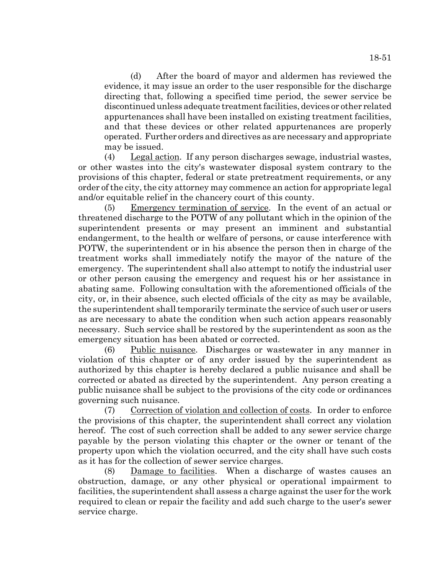(d) After the board of mayor and aldermen has reviewed the evidence, it may issue an order to the user responsible for the discharge directing that, following a specified time period, the sewer service be discontinued unless adequate treatment facilities, devices or other related appurtenances shall have been installed on existing treatment facilities, and that these devices or other related appurtenances are properly operated. Further orders and directives as are necessary and appropriate may be issued.

(4) Legal action. If any person discharges sewage, industrial wastes, or other wastes into the city's wastewater disposal system contrary to the provisions of this chapter, federal or state pretreatment requirements, or any order of the city, the city attorney may commence an action for appropriate legal and/or equitable relief in the chancery court of this county.

(5) Emergency termination of service. In the event of an actual or threatened discharge to the POTW of any pollutant which in the opinion of the superintendent presents or may present an imminent and substantial endangerment, to the health or welfare of persons, or cause interference with POTW, the superintendent or in his absence the person then in charge of the treatment works shall immediately notify the mayor of the nature of the emergency. The superintendent shall also attempt to notify the industrial user or other person causing the emergency and request his or her assistance in abating same. Following consultation with the aforementioned officials of the city, or, in their absence, such elected officials of the city as may be available, the superintendent shall temporarily terminate the service of such user or users as are necessary to abate the condition when such action appears reasonably necessary. Such service shall be restored by the superintendent as soon as the emergency situation has been abated or corrected.

(6) Public nuisance. Discharges or wastewater in any manner in violation of this chapter or of any order issued by the superintendent as authorized by this chapter is hereby declared a public nuisance and shall be corrected or abated as directed by the superintendent. Any person creating a public nuisance shall be subject to the provisions of the city code or ordinances governing such nuisance.

(7) Correction of violation and collection of costs. In order to enforce the provisions of this chapter, the superintendent shall correct any violation hereof. The cost of such correction shall be added to any sewer service charge payable by the person violating this chapter or the owner or tenant of the property upon which the violation occurred, and the city shall have such costs as it has for the collection of sewer service charges.

(8) Damage to facilities. When a discharge of wastes causes an obstruction, damage, or any other physical or operational impairment to facilities, the superintendent shall assess a charge against the user for the work required to clean or repair the facility and add such charge to the user's sewer service charge.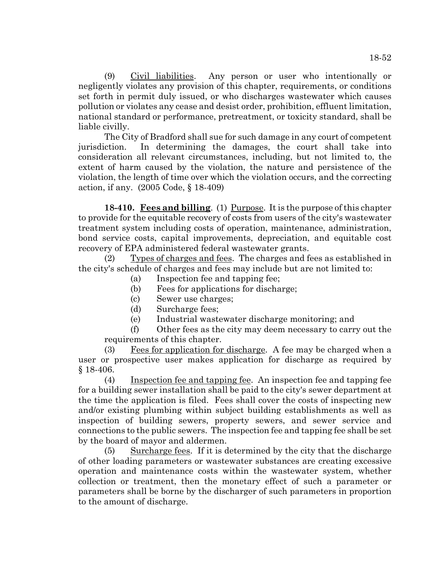(9) Civil liabilities. Any person or user who intentionally or negligently violates any provision of this chapter, requirements, or conditions set forth in permit duly issued, or who discharges wastewater which causes pollution or violates any cease and desist order, prohibition, effluent limitation, national standard or performance, pretreatment, or toxicity standard, shall be liable civilly.

The City of Bradford shall sue for such damage in any court of competent jurisdiction. In determining the damages, the court shall take into consideration all relevant circumstances, including, but not limited to, the extent of harm caused by the violation, the nature and persistence of the violation, the length of time over which the violation occurs, and the correcting action, if any. (2005 Code, § 18-409)

**18-410. Fees and billing**. (1) Purpose. It is the purpose of this chapter to provide for the equitable recovery of costs from users of the city's wastewater treatment system including costs of operation, maintenance, administration, bond service costs, capital improvements, depreciation, and equitable cost recovery of EPA administered federal wastewater grants.

(2) Types of charges and fees. The charges and fees as established in the city's schedule of charges and fees may include but are not limited to:

- (a) Inspection fee and tapping fee;
- (b) Fees for applications for discharge;
- (c) Sewer use charges;
- (d) Surcharge fees;
- (e) Industrial wastewater discharge monitoring; and

(f) Other fees as the city may deem necessary to carry out the requirements of this chapter.

(3) Fees for application for discharge. A fee may be charged when a user or prospective user makes application for discharge as required by § 18-406.

(4) Inspection fee and tapping fee. An inspection fee and tapping fee for a building sewer installation shall be paid to the city's sewer department at the time the application is filed. Fees shall cover the costs of inspecting new and/or existing plumbing within subject building establishments as well as inspection of building sewers, property sewers, and sewer service and connections to the public sewers. The inspection fee and tapping fee shall be set by the board of mayor and aldermen.

(5) Surcharge fees. If it is determined by the city that the discharge of other loading parameters or wastewater substances are creating excessive operation and maintenance costs within the wastewater system, whether collection or treatment, then the monetary effect of such a parameter or parameters shall be borne by the discharger of such parameters in proportion to the amount of discharge.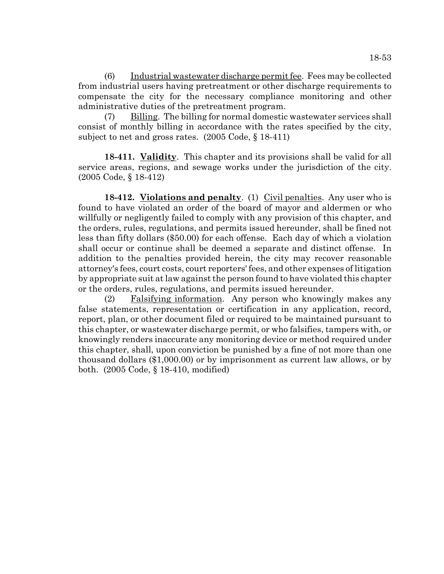(6) Industrial wastewater discharge permit fee. Fees may be collected from industrial users having pretreatment or other discharge requirements to compensate the city for the necessary compliance monitoring and other administrative duties of the pretreatment program.

(7) Billing. The billing for normal domestic wastewater services shall consist of monthly billing in accordance with the rates specified by the city, subject to net and gross rates. (2005 Code, § 18-411)

**18-411. Validity**. This chapter and its provisions shall be valid for all service areas, regions, and sewage works under the jurisdiction of the city. (2005 Code, § 18-412)

**18-412.** Violations and penalty. (1) Civil penalties. Any user who is found to have violated an order of the board of mayor and aldermen or who willfully or negligently failed to comply with any provision of this chapter, and the orders, rules, regulations, and permits issued hereunder, shall be fined not less than fifty dollars (\$50.00) for each offense. Each day of which a violation shall occur or continue shall be deemed a separate and distinct offense. In addition to the penalties provided herein, the city may recover reasonable attorney's fees, court costs, court reporters' fees, and other expenses of litigation by appropriate suit at law against the person found to have violated this chapter or the orders, rules, regulations, and permits issued hereunder.

(2) Falsifying information. Any person who knowingly makes any false statements, representation or certification in any application, record, report, plan, or other document filed or required to be maintained pursuant to this chapter, or wastewater discharge permit, or who falsifies, tampers with, or knowingly renders inaccurate any monitoring device or method required under this chapter, shall, upon conviction be punished by a fine of not more than one thousand dollars (\$1,000.00) or by imprisonment as current law allows, or by both. (2005 Code, § 18-410, modified)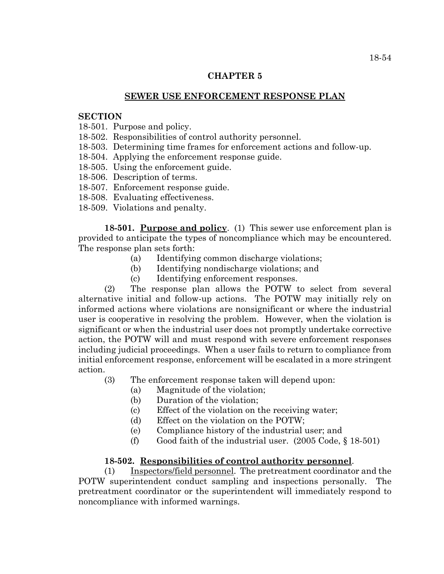### **CHAPTER 5**

# **SEWER USE ENFORCEMENT RESPONSE PLAN**

### **SECTION**

- 18-501. Purpose and policy.
- 18-502. Responsibilities of control authority personnel.
- 18-503. Determining time frames for enforcement actions and follow-up.
- 18-504. Applying the enforcement response guide.
- 18-505. Using the enforcement guide.
- 18-506. Description of terms.
- 18-507. Enforcement response guide.
- 18-508. Evaluating effectiveness.
- 18-509. Violations and penalty.

**18-501. Purpose and policy**. (1) This sewer use enforcement plan is provided to anticipate the types of noncompliance which may be encountered. The response plan sets forth:

- (a) Identifying common discharge violations;
- (b) Identifying nondischarge violations; and
- (c) Identifying enforcement responses.

(2) The response plan allows the POTW to select from several alternative initial and follow-up actions. The POTW may initially rely on informed actions where violations are nonsignificant or where the industrial user is cooperative in resolving the problem. However, when the violation is significant or when the industrial user does not promptly undertake corrective action, the POTW will and must respond with severe enforcement responses including judicial proceedings. When a user fails to return to compliance from initial enforcement response, enforcement will be escalated in a more stringent action.

(3) The enforcement response taken will depend upon:

- (a) Magnitude of the violation;
- (b) Duration of the violation;
- (c) Effect of the violation on the receiving water;
- (d) Effect on the violation on the POTW;
- (e) Compliance history of the industrial user; and
- (f) Good faith of the industrial user.  $(2005 \text{ Code}, \S 18-501)$

### **18-502. Responsibilities of control authority personnel**.

(1) Inspectors/field personnel. The pretreatment coordinator and the POTW superintendent conduct sampling and inspections personally. The pretreatment coordinator or the superintendent will immediately respond to noncompliance with informed warnings.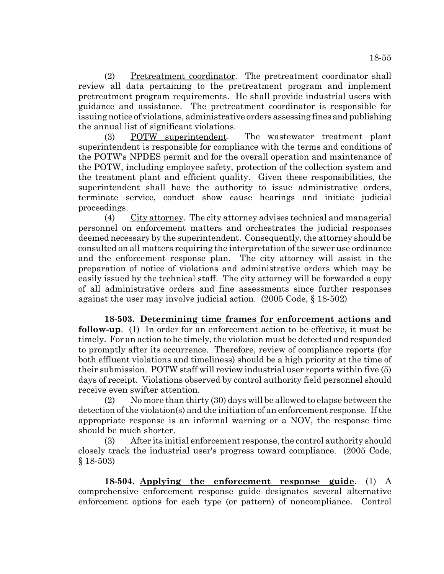(2) Pretreatment coordinator. The pretreatment coordinator shall review all data pertaining to the pretreatment program and implement pretreatment program requirements. He shall provide industrial users with guidance and assistance. The pretreatment coordinator is responsible for issuing notice of violations, administrative orders assessing fines and publishing the annual list of significant violations.

(3) POTW superintendent. The wastewater treatment plant superintendent is responsible for compliance with the terms and conditions of the POTW's NPDES permit and for the overall operation and maintenance of the POTW, including employee safety, protection of the collection system and the treatment plant and efficient quality. Given these responsibilities, the superintendent shall have the authority to issue administrative orders, terminate service, conduct show cause hearings and initiate judicial proceedings.

(4) City attorney. The city attorney advises technical and managerial personnel on enforcement matters and orchestrates the judicial responses deemed necessary by the superintendent. Consequently, the attorney should be consulted on all matters requiring the interpretation of the sewer use ordinance and the enforcement response plan. The city attorney will assist in the preparation of notice of violations and administrative orders which may be easily issued by the technical staff. The city attorney will be forwarded a copy of all administrative orders and fine assessments since further responses against the user may involve judicial action. (2005 Code, § 18-502)

**18-503. Determining time frames for enforcement actions and follow-up**. (1) In order for an enforcement action to be effective, it must be timely. For an action to be timely, the violation must be detected and responded to promptly after its occurrence. Therefore, review of compliance reports (for both effluent violations and timeliness) should be a high priority at the time of their submission. POTW staff will review industrial user reports within five (5) days of receipt. Violations observed by control authority field personnel should receive even swifter attention.

(2) No more than thirty (30) days will be allowed to elapse between the detection of the violation(s) and the initiation of an enforcement response. If the appropriate response is an informal warning or a NOV, the response time should be much shorter.

(3) After its initial enforcement response, the control authority should closely track the industrial user's progress toward compliance. (2005 Code, § 18-503)

**18-504. Applying the enforcement response guide**. (1) A comprehensive enforcement response guide designates several alternative enforcement options for each type (or pattern) of noncompliance. Control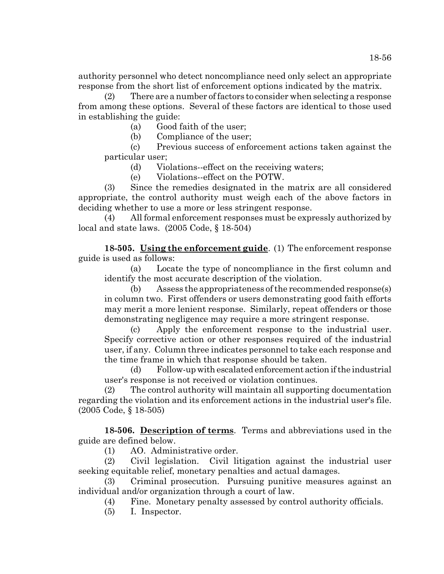authority personnel who detect noncompliance need only select an appropriate response from the short list of enforcement options indicated by the matrix.

(2) There are a number of factors to consider when selecting a response from among these options. Several of these factors are identical to those used in establishing the guide:

(a) Good faith of the user;

(b) Compliance of the user;

(c) Previous success of enforcement actions taken against the particular user;

(d) Violations--effect on the receiving waters;

(e) Violations--effect on the POTW.

(3) Since the remedies designated in the matrix are all considered appropriate, the control authority must weigh each of the above factors in deciding whether to use a more or less stringent response.

(4) All formal enforcement responses must be expressly authorized by local and state laws. (2005 Code, § 18-504)

**18-505. Using the enforcement guide**. (1) The enforcement response guide is used as follows:

(a) Locate the type of noncompliance in the first column and identify the most accurate description of the violation.

(b) Assess the appropriateness of the recommended response(s) in column two. First offenders or users demonstrating good faith efforts may merit a more lenient response. Similarly, repeat offenders or those demonstrating negligence may require a more stringent response.

(c) Apply the enforcement response to the industrial user. Specify corrective action or other responses required of the industrial user, if any. Column three indicates personnel to take each response and the time frame in which that response should be taken.

(d) Follow-up with escalated enforcement action if the industrial user's response is not received or violation continues.

(2) The control authority will maintain all supporting documentation regarding the violation and its enforcement actions in the industrial user's file. (2005 Code, § 18-505)

**18-506. Description of terms**. Terms and abbreviations used in the guide are defined below.

(1) AO. Administrative order.

(2) Civil legislation. Civil litigation against the industrial user seeking equitable relief, monetary penalties and actual damages.

(3) Criminal prosecution. Pursuing punitive measures against an individual and/or organization through a court of law.

(4) Fine. Monetary penalty assessed by control authority officials.

(5) I. Inspector.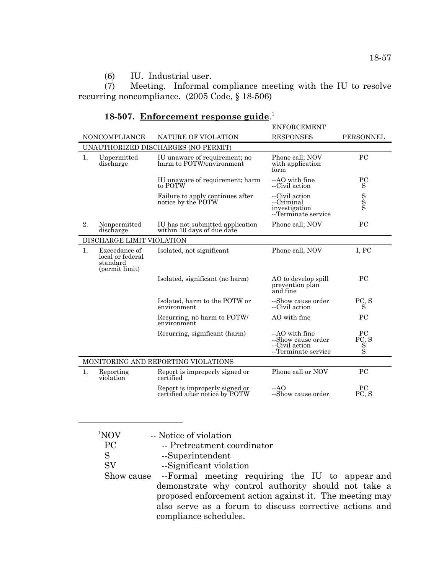# (6) IU. Industrial user.

 $(7)$  Meeting. Informal compliance meeting with the IU to resolve recurring noncompliance. (2005 Code, § 18-506)

# **18-507. Enforcement response guide**. 1

|                |                                                                 |                                                                  | <b>ENFORCEMENT</b>                                                             |                                          |
|----------------|-----------------------------------------------------------------|------------------------------------------------------------------|--------------------------------------------------------------------------------|------------------------------------------|
|                | <b>NONCOMPLIANCE</b>                                            | NATURE OF VIOLATION                                              | <b>RESPONSES</b>                                                               | PERSONNEL                                |
|                | UNAUTHORIZED DISCHARGES (NO PERMIT)                             |                                                                  |                                                                                |                                          |
| 1.             | Unpermitted<br>discharge                                        | IU unaware of requirement; no<br>harm to POTW/environment        | Phone call; NOV<br>with application<br>form                                    | PC                                       |
|                |                                                                 | IU unaware of requirement; harm<br>to POTW                       | --AO with fine<br>--Civil action                                               | $_{\rm PC}$<br>S                         |
|                |                                                                 | Failure to apply continues after<br>notice by the POTW           | --Civil action<br>--Criminal<br>investigation<br>--Terminate service           | $\frac{S}{S}$                            |
| 2.             | Nonpermitted<br>discharge                                       | IU has not submitted application<br>within 10 days of due date   | Phone call; NOV                                                                | PC                                       |
|                | DISCHARGE LIMIT VIOLATION                                       |                                                                  |                                                                                |                                          |
| $\mathbf{1}$ . | Exceedance of<br>local or federal<br>standard<br>(permit limit) | Isolated, not significant                                        | Phone call, NOV                                                                | I, PC                                    |
|                |                                                                 | Isolated, significant (no harm)                                  | AO to develop spill<br>prevention plan<br>and fine                             | <b>PC</b>                                |
|                |                                                                 | Isolated, harm to the POTW or<br>environment                     | --Show cause order<br>--Civil action                                           | $_{\rm S}^{\rm PC}$ S                    |
|                |                                                                 | Recurring, no harm to POTW/<br>environment                       | AO with fine                                                                   | PC                                       |
|                |                                                                 | Recurring, significant (harm)                                    | $-AO$ with fine<br>--Show cause order<br>--Civil action<br>--Terminate service | <b>PC</b><br>PC, S<br>$_{\rm S}^{\rm S}$ |
|                | MONITORING AND REPORTING VIOLATIONS                             |                                                                  |                                                                                |                                          |
| 1.             | Reporting<br>violation                                          | Report is improperly signed or<br>certified                      | Phone call or NOV                                                              | <b>PC</b>                                |
|                |                                                                 | Report is improperly signed or<br>certified after notice by POTW | $-AO$<br>--Show cause order                                                    | PC<br>PC, S                              |
|                |                                                                 |                                                                  |                                                                                |                                          |

| 1NOV      | -- Notice of violation                                     |
|-----------|------------------------------------------------------------|
| PC        | -- Pretreatment coordinator                                |
| S         | --Superintendent                                           |
| <b>SV</b> | --Significant violation                                    |
|           | Show cause --Formal meeting requiring the IU to appear and |
|           | demonstrate why control authority should not take a        |
|           | proposed enforcement action against it. The meeting may    |
|           | also serve as a forum to discuss corrective actions and    |
|           | compliance schedules.                                      |
|           |                                                            |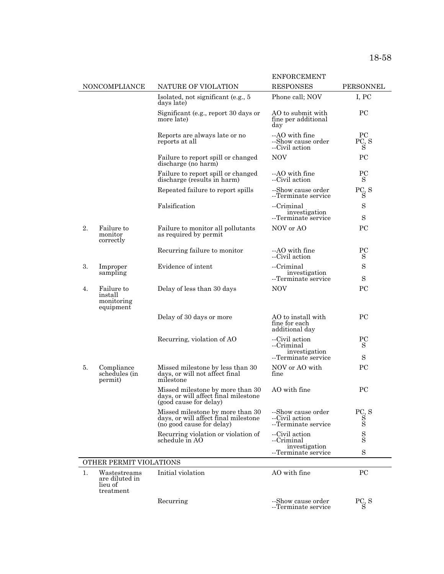|                         |                                                        |                                                                                                       | <b>ENFORCEMENT</b>                                          |                             |
|-------------------------|--------------------------------------------------------|-------------------------------------------------------------------------------------------------------|-------------------------------------------------------------|-----------------------------|
|                         | NONCOMPLIANCE                                          | NATURE OF VIOLATION                                                                                   | <b>RESPONSES</b>                                            | PERSONNEL                   |
|                         |                                                        | Isolated, not significant (e.g., 5)<br>days late)                                                     | Phone call; NOV                                             | I, PC                       |
|                         |                                                        | Significant (e.g., report 30 days or<br>more late)                                                    | AO to submit with<br>fine per additional<br>day             | <b>PC</b>                   |
|                         |                                                        | Reports are always late or no<br>reports at all                                                       | --AO with fine<br>--Show cause order<br>--Civil action      | $_{\rm PC}$<br>PC, S<br>S   |
|                         |                                                        | Failure to report spill or changed<br>discharge (no harm)                                             | NOV <sub></sub>                                             | PC                          |
|                         |                                                        | Failure to report spill or changed<br>discharge (results in harm)                                     | --AO with fine<br>--Civil action                            | $_{\rm PC}$<br>S            |
|                         |                                                        | Repeated failure to report spills                                                                     | --Show cause order<br>--Terminate service                   | PC <sub>S</sub>             |
|                         |                                                        | Falsification                                                                                         | --Criminal<br>investigation<br>--Terminate service          | S<br>S                      |
| 2.                      | Failure to<br>monitor<br>correctly                     | Failure to monitor all pollutants<br>as required by permit                                            | NOV or AO                                                   | <b>PC</b>                   |
|                         |                                                        | Recurring failure to monitor                                                                          | --AO with fine<br>--Civil action                            | PC<br>S                     |
| 3.                      | Improper                                               | Evidence of intent                                                                                    | --Criminal                                                  | S                           |
|                         | sampling                                               |                                                                                                       | investigation<br>--Terminate service                        | S                           |
| 4.                      | Failure to<br>install<br>monitoring<br>equipment       | Delay of less than 30 days                                                                            | <b>NOV</b>                                                  | PC                          |
|                         |                                                        | Delay of 30 days or more                                                                              | AO to install with<br>fine for each<br>additional day       | <b>PC</b>                   |
|                         |                                                        | Recurring, violation of AO                                                                            | --Civil action<br>--Criminal<br>investigation               | PC<br>S                     |
|                         |                                                        |                                                                                                       | --Terminate service                                         | S                           |
| 5.                      | Compliance<br>schedules (in<br>permit)                 | Missed milestone by less than 30<br>days, or will not affect final<br>milestone                       | NOV or AO with<br>fine                                      | PС                          |
|                         |                                                        | Missed milestone by more than 30<br>days, or will affect final milestone<br>(good cause for delay)    | AO with fine                                                | PC                          |
|                         |                                                        | Missed milestone by more than 30<br>days, or will affect final milestone<br>(no good cause for delay) | --Show cause order<br>--Civil action<br>--Terminate service | PC, S<br>$_{\rm S}^{\rm S}$ |
|                         |                                                        | Recurring violation or violation of<br>schedule in AO                                                 | --Civil action<br>--Criminal                                | $_{\rm S}^{\rm S}$          |
|                         |                                                        |                                                                                                       | investigation<br>--Terminate service                        | $\rm S$                     |
| OTHER PERMIT VIOLATIONS |                                                        |                                                                                                       |                                                             |                             |
| 1.                      | Wastestreams<br>are diluted in<br>lieu of<br>treatment | Initial violation                                                                                     | AO with fine                                                | $_{\rm PC}$                 |
|                         |                                                        | Recurring                                                                                             | --Show cause order<br>--Terminate service                   | PC, S<br>S                  |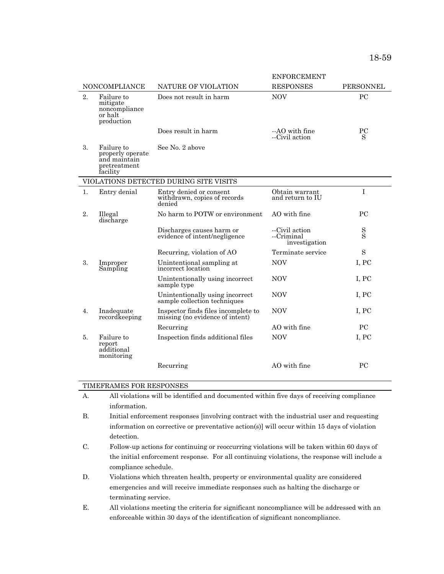|                  |                                                                            |                                                                        | <b>ENFORCEMENT</b>                            |                    |
|------------------|----------------------------------------------------------------------------|------------------------------------------------------------------------|-----------------------------------------------|--------------------|
|                  | <b>NONCOMPLIANCE</b>                                                       | NATURE OF VIOLATION                                                    | <b>RESPONSES</b>                              | <b>PERSONNEL</b>   |
| 2.               | Failure to<br>mitigate<br>noncompliance<br>or halt<br>production           | Does not result in harm                                                | <b>NOV</b>                                    | PC                 |
|                  |                                                                            | Does result in harm                                                    | --AO with fine<br>--Civil action              | PC<br>S            |
| 3.               | Failure to<br>properly operate<br>and maintain<br>pretreatment<br>facility | See No. 2 above                                                        |                                               |                    |
|                  |                                                                            | VIOLATIONS DETECTED DURING SITE VISITS                                 |                                               |                    |
| 1.               | Entry denial                                                               | Entry denied or consent<br>withdrawn, copies of records<br>denied      | Obtain warrant<br>and return to IU            | I                  |
| 2.               | Illegal<br>discharge                                                       | No harm to POTW or environment                                         | AO with fine                                  | <b>PC</b>          |
|                  |                                                                            | Discharges causes harm or<br>evidence of intent/negligence             | --Civil action<br>--Criminal<br>investigation | $_{\rm S}^{\rm S}$ |
|                  |                                                                            | Recurring, violation of AO                                             | Terminate service                             | $\rm S$            |
| 3.               | Improper<br>Sampling                                                       | Unintentional sampling at<br>incorrect location                        | <b>NOV</b>                                    | I, PC              |
|                  |                                                                            | Unintentionally using incorrect<br>sample type                         | <b>NOV</b>                                    | I, PC              |
|                  |                                                                            | Unintentionally using incorrect<br>sample collection techniques        | <b>NOV</b>                                    | I, PC              |
| $\overline{4}$ . | Inadequate<br>recordkeeping                                                | Inspector finds files incomplete to<br>missing (no evidence of intent) | <b>NOV</b>                                    | I, PC              |
|                  |                                                                            | Recurring                                                              | AO with fine                                  | <b>PC</b>          |
| 5.               | Failure to<br>report<br>additional<br>monitoring                           | Inspection finds additional files                                      | <b>NOV</b>                                    | I, PC              |
|                  |                                                                            | Recurring                                                              | AO with fine                                  | PC                 |

#### TIMEFRAMES FOR RESPONSES

- A. All violations will be identified and documented within five days of receiving compliance information.
- B. Initial enforcement responses [involving contract with the industrial user and requesting information on corrective or preventative action(s)] will occur within 15 days of violation detection.
- C. Follow-up actions for continuing or reoccurring violations will be taken within 60 days of the initial enforcement response. For all continuing violations, the response will include a compliance schedule.
- D. Violations which threaten health, property or environmental quality are considered emergencies and will receive immediate responses such as halting the discharge or terminating service.
- E. All violations meeting the criteria for significant noncompliance will be addressed with an enforceable within 30 days of the identification of significant noncompliance.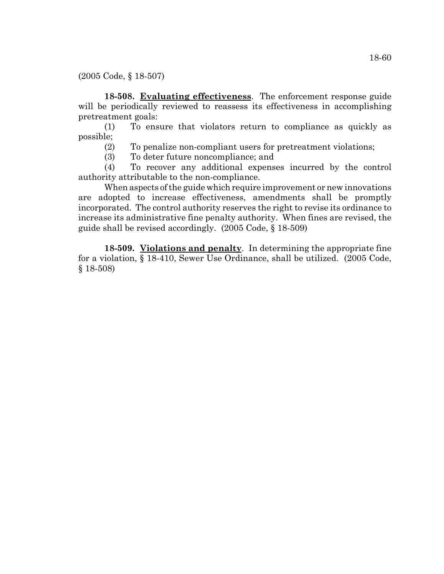(2005 Code, § 18-507)

**18-508. Evaluating effectiveness**. The enforcement response guide will be periodically reviewed to reassess its effectiveness in accomplishing pretreatment goals:

(1) To ensure that violators return to compliance as quickly as possible;

(2) To penalize non-compliant users for pretreatment violations;

(3) To deter future noncompliance; and

(4) To recover any additional expenses incurred by the control authority attributable to the non-compliance.

When aspects of the guide which require improvement or new innovations are adopted to increase effectiveness, amendments shall be promptly incorporated. The control authority reserves the right to revise its ordinance to increase its administrative fine penalty authority. When fines are revised, the guide shall be revised accordingly. (2005 Code, § 18-509)

**18-509. Violations and penalty**. In determining the appropriate fine for a violation, § 18-410, Sewer Use Ordinance, shall be utilized. (2005 Code, § 18-508)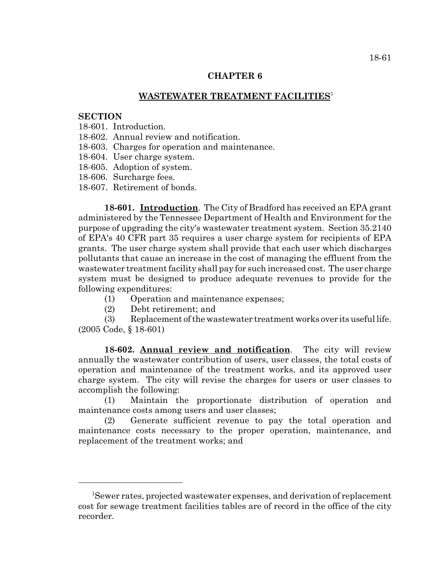### **CHAPTER 6**

## **WASTEWATER TREATMENT FACILITIES**<sup>1</sup>

### **SECTION**

- 18-601. Introduction.
- 18-602. Annual review and notification.
- 18-603. Charges for operation and maintenance.
- 18-604. User charge system.
- 18-605. Adoption of system.
- 18-606. Surcharge fees.
- 18-607. Retirement of bonds.

**18-601. Introduction**. The City of Bradford has received an EPA grant administered by the Tennessee Department of Health and Environment for the purpose of upgrading the city's wastewater treatment system. Section 35.2140 of EPA's 40 CFR part 35 requires a user charge system for recipients of EPA grants. The user charge system shall provide that each user which discharges pollutants that cause an increase in the cost of managing the effluent from the wastewater treatment facility shall pay for such increased cost. The user charge system must be designed to produce adequate revenues to provide for the following expenditures:

- (1) Operation and maintenance expenses;
- (2) Debt retirement; and

(3) Replacement of the wastewater treatment works over its useful life. (2005 Code, § 18-601)

**18-602. Annual review and notification**. The city will review annually the wastewater contribution of users, user classes, the total costs of operation and maintenance of the treatment works, and its approved user charge system. The city will revise the charges for users or user classes to accomplish the following:

(1) Maintain the proportionate distribution of operation and maintenance costs among users and user classes;

(2) Generate sufficient revenue to pay the total operation and maintenance costs necessary to the proper operation, maintenance, and replacement of the treatment works; and

<sup>&</sup>lt;sup>1</sup>Sewer rates, projected wastewater expenses, and derivation of replacement cost for sewage treatment facilities tables are of record in the office of the city recorder.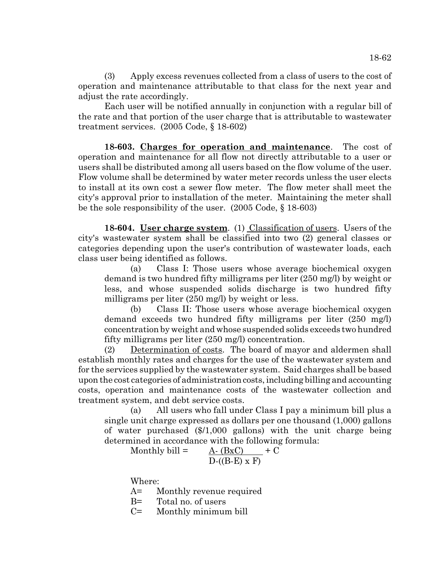(3) Apply excess revenues collected from a class of users to the cost of operation and maintenance attributable to that class for the next year and adjust the rate accordingly.

Each user will be notified annually in conjunction with a regular bill of the rate and that portion of the user charge that is attributable to wastewater treatment services. (2005 Code, § 18-602)

**18-603. Charges for operation and maintenance**. The cost of operation and maintenance for all flow not directly attributable to a user or users shall be distributed among all users based on the flow volume of the user. Flow volume shall be determined by water meter records unless the user elects to install at its own cost a sewer flow meter. The flow meter shall meet the city's approval prior to installation of the meter. Maintaining the meter shall be the sole responsibility of the user. (2005 Code, § 18-603)

**18-604. User charge system**. (1) Classification of users. Users of the city's wastewater system shall be classified into two (2) general classes or categories depending upon the user's contribution of wastewater loads, each class user being identified as follows.

(a) Class I: Those users whose average biochemical oxygen demand is two hundred fifty milligrams per liter (250 mg/l) by weight or less, and whose suspended solids discharge is two hundred fifty milligrams per liter (250 mg/l) by weight or less.

(b) Class II: Those users whose average biochemical oxygen demand exceeds two hundred fifty milligrams per liter (250 mg/l) concentration by weight and whose suspended solids exceeds two hundred fifty milligrams per liter (250 mg/l) concentration.

(2) Determination of costs. The board of mayor and aldermen shall establish monthly rates and charges for the use of the wastewater system and for the services supplied by the wastewater system. Said charges shall be based upon the cost categories of administration costs, including billing and accounting costs, operation and maintenance costs of the wastewater collection and treatment system, and debt service costs.

(a) All users who fall under Class I pay a minimum bill plus a single unit charge expressed as dollars per one thousand (1,000) gallons of water purchased (\$/1,000 gallons) with the unit charge being determined in accordance with the following formula:

Monthly bill = 
$$
\frac{A \cdot (BxC)}{D \cdot ((B-E) \times F)} + C
$$

Where:

A= Monthly revenue required

B= Total no. of users

C= Monthly minimum bill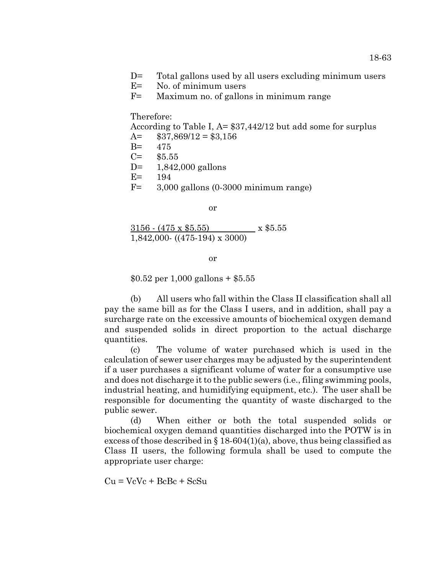- D= Total gallons used by all users excluding minimum users
- E= No. of minimum users
- F= Maximum no. of gallons in minimum range

### Therefore:

According to Table I, A= \$37,442/12 but add some for surplus

- $A =$  \$37,869/12 = \$3,156
- B= 475  $C =$  \$5.55
- 
- D= 1,842,000 gallons
- E= 194
- F= 3,000 gallons (0-3000 minimum range)

or

 $3156 - (475 \times $5.55)$  x \$5.55 1,842,000- ((475-194) x 3000)

or

 $$0.52$  per 1,000 gallons + \$5.55

(b) All users who fall within the Class II classification shall all pay the same bill as for the Class I users, and in addition, shall pay a surcharge rate on the excessive amounts of biochemical oxygen demand and suspended solids in direct proportion to the actual discharge quantities.

(c) The volume of water purchased which is used in the calculation of sewer user charges may be adjusted by the superintendent if a user purchases a significant volume of water for a consumptive use and does not discharge it to the public sewers (i.e., filing swimming pools, industrial heating, and humidifying equipment, etc.). The user shall be responsible for documenting the quantity of waste discharged to the public sewer.

(d) When either or both the total suspended solids or biochemical oxygen demand quantities discharged into the POTW is in excess of those described in  $\S 18-604(1)(a)$ , above, thus being classified as Class II users, the following formula shall be used to compute the appropriate user charge:

 $Cu = VeVe + BeBe + SeSu$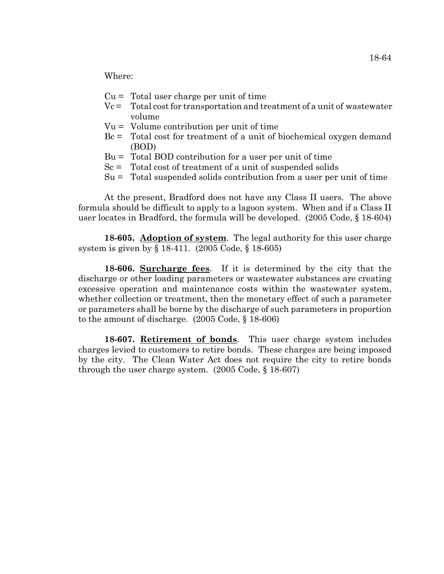Where:

- $Cu = Total user charge per unit of time$
- Vc = Total cost for transportation and treatment of a unit of wastewater volume
- Vu = Volume contribution per unit of time
- Bc = Total cost for treatment of a unit of biochemical oxygen demand (BOD)
- $Bu = Total BOD$  contribution for a user per unit of time
- $Sc =$  Total cost of treatment of a unit of suspended solids
- Su = Total suspended solids contribution from a user per unit of time

At the present, Bradford does not have any Class II users. The above formula should be difficult to apply to a lagoon system. When and if a Class II user locates in Bradford, the formula will be developed. (2005 Code, § 18-604)

**18-605. Adoption of system**. The legal authority for this user charge system is given by § 18-411. (2005 Code, § 18-605)

**18-606. Surcharge fees**. If it is determined by the city that the discharge or other loading parameters or wastewater substances are creating excessive operation and maintenance costs within the wastewater system, whether collection or treatment, then the monetary effect of such a parameter or parameters shall be borne by the discharge of such parameters in proportion to the amount of discharge. (2005 Code, § 18-606)

**18-607. Retirement of bonds**. This user charge system includes charges levied to customers to retire bonds. These charges are being imposed by the city. The Clean Water Act does not require the city to retire bonds through the user charge system. (2005 Code, § 18-607)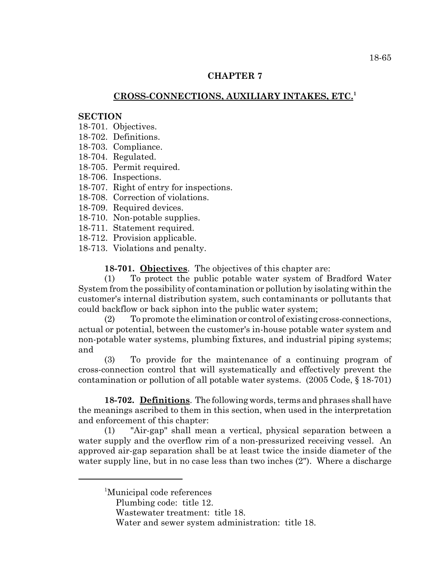### **CHAPTER 7**

## **CROSS-CONNECTIONS, AUXILIARY INTAKES, ETC.<sup>1</sup>**

### **SECTION**

- 18-701. Objectives.
- 18-702. Definitions.
- 18-703. Compliance.
- 18-704. Regulated.
- 18-705. Permit required.
- 18-706. Inspections.
- 18-707. Right of entry for inspections.
- 18-708. Correction of violations.
- 18-709. Required devices.
- 18-710. Non-potable supplies.
- 18-711. Statement required.
- 18-712. Provision applicable.
- 18-713. Violations and penalty.

**18-701. Objectives**. The objectives of this chapter are:

(1) To protect the public potable water system of Bradford Water System from the possibility of contamination or pollution by isolating within the customer's internal distribution system, such contaminants or pollutants that could backflow or back siphon into the public water system;

(2) To promote the elimination or control of existing cross-connections, actual or potential, between the customer's in-house potable water system and non-potable water systems, plumbing fixtures, and industrial piping systems; and

(3) To provide for the maintenance of a continuing program of cross-connection control that will systematically and effectively prevent the contamination or pollution of all potable water systems. (2005 Code, § 18-701)

**18-702. Definitions**. The following words, terms and phrases shall have the meanings ascribed to them in this section, when used in the interpretation and enforcement of this chapter:

(1) "Air-gap" shall mean a vertical, physical separation between a water supply and the overflow rim of a non-pressurized receiving vessel. An approved air-gap separation shall be at least twice the inside diameter of the water supply line, but in no case less than two inches (2"). Where a discharge

- <sup>1</sup>Municipal code references
	- Plumbing code: title 12.
	- Wastewater treatment: title 18.

Water and sewer system administration: title 18.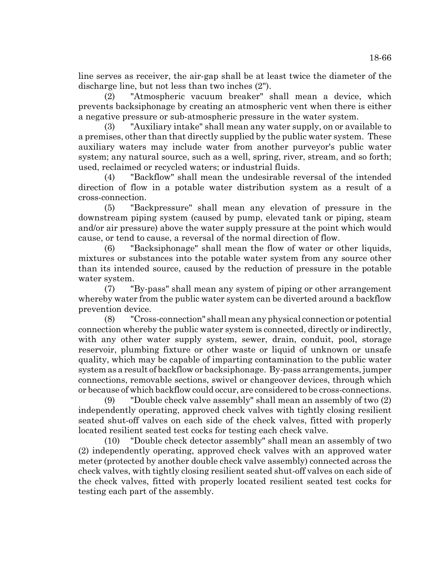line serves as receiver, the air-gap shall be at least twice the diameter of the discharge line, but not less than two inches (2").

(2) "Atmospheric vacuum breaker" shall mean a device, which prevents backsiphonage by creating an atmospheric vent when there is either a negative pressure or sub-atmospheric pressure in the water system.

(3) "Auxiliary intake" shall mean any water supply, on or available to a premises, other than that directly supplied by the public water system. These auxiliary waters may include water from another purveyor's public water system; any natural source, such as a well, spring, river, stream, and so forth; used, reclaimed or recycled waters; or industrial fluids.

(4) "Backflow" shall mean the undesirable reversal of the intended direction of flow in a potable water distribution system as a result of a cross-connection.

(5) "Backpressure" shall mean any elevation of pressure in the downstream piping system (caused by pump, elevated tank or piping, steam and/or air pressure) above the water supply pressure at the point which would cause, or tend to cause, a reversal of the normal direction of flow.

(6) "Backsiphonage" shall mean the flow of water or other liquids, mixtures or substances into the potable water system from any source other than its intended source, caused by the reduction of pressure in the potable water system.

(7) "By-pass" shall mean any system of piping or other arrangement whereby water from the public water system can be diverted around a backflow prevention device.

(8) "Cross-connection" shall mean any physical connection or potential connection whereby the public water system is connected, directly or indirectly, with any other water supply system, sewer, drain, conduit, pool, storage reservoir, plumbing fixture or other waste or liquid of unknown or unsafe quality, which may be capable of imparting contamination to the public water system as a result of backflow or backsiphonage. By-pass arrangements, jumper connections, removable sections, swivel or changeover devices, through which or because of which backflow could occur, are considered to be cross-connections.

(9) "Double check valve assembly" shall mean an assembly of two (2) independently operating, approved check valves with tightly closing resilient seated shut-off valves on each side of the check valves, fitted with properly located resilient seated test cocks for testing each check valve.

(10) "Double check detector assembly" shall mean an assembly of two (2) independently operating, approved check valves with an approved water meter (protected by another double check valve assembly) connected across the check valves, with tightly closing resilient seated shut-off valves on each side of the check valves, fitted with properly located resilient seated test cocks for testing each part of the assembly.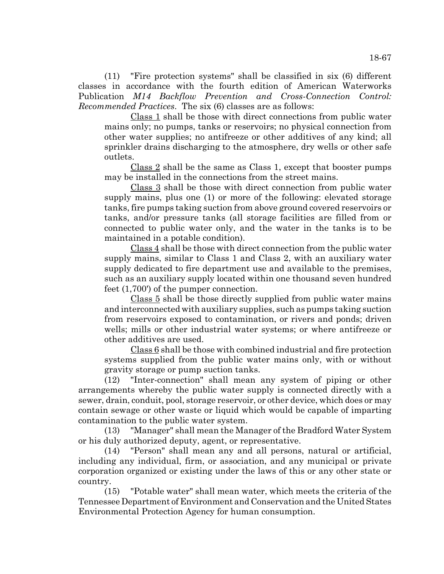(11) "Fire protection systems" shall be classified in six (6) different classes in accordance with the fourth edition of American Waterworks Publication *M14 Backflow Prevention and Cross-Connection Control: Recommended Practices*. The six (6) classes are as follows:

Class 1 shall be those with direct connections from public water mains only; no pumps, tanks or reservoirs; no physical connection from other water supplies; no antifreeze or other additives of any kind; all sprinkler drains discharging to the atmosphere, dry wells or other safe outlets.

Class 2 shall be the same as Class 1, except that booster pumps may be installed in the connections from the street mains.

Class 3 shall be those with direct connection from public water supply mains, plus one (1) or more of the following: elevated storage tanks, fire pumps taking suction from above ground covered reservoirs or tanks, and/or pressure tanks (all storage facilities are filled from or connected to public water only, and the water in the tanks is to be maintained in a potable condition).

Class 4 shall be those with direct connection from the public water supply mains, similar to Class 1 and Class 2, with an auxiliary water supply dedicated to fire department use and available to the premises, such as an auxiliary supply located within one thousand seven hundred feet (1,700') of the pumper connection.

Class 5 shall be those directly supplied from public water mains and interconnected with auxiliary supplies, such as pumps taking suction from reservoirs exposed to contamination, or rivers and ponds; driven wells; mills or other industrial water systems; or where antifreeze or other additives are used.

Class 6 shall be those with combined industrial and fire protection systems supplied from the public water mains only, with or without gravity storage or pump suction tanks.

(12) "Inter-connection" shall mean any system of piping or other arrangements whereby the public water supply is connected directly with a sewer, drain, conduit, pool, storage reservoir, or other device, which does or may contain sewage or other waste or liquid which would be capable of imparting contamination to the public water system.

(13) "Manager" shall mean the Manager of the Bradford Water System or his duly authorized deputy, agent, or representative.

(14) "Person" shall mean any and all persons, natural or artificial, including any individual, firm, or association, and any municipal or private corporation organized or existing under the laws of this or any other state or country.

(15) "Potable water" shall mean water, which meets the criteria of the Tennessee Department of Environment and Conservation and the United States Environmental Protection Agency for human consumption.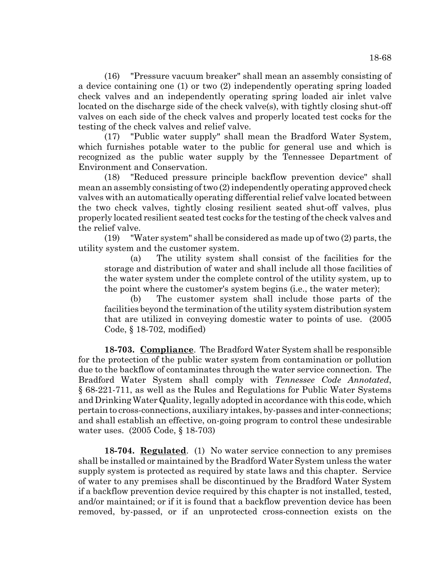(16) "Pressure vacuum breaker" shall mean an assembly consisting of a device containing one (1) or two (2) independently operating spring loaded check valves and an independently operating spring loaded air inlet valve located on the discharge side of the check valve(s), with tightly closing shut-off valves on each side of the check valves and properly located test cocks for the testing of the check valves and relief valve.

(17) "Public water supply" shall mean the Bradford Water System, which furnishes potable water to the public for general use and which is recognized as the public water supply by the Tennessee Department of Environment and Conservation.

(18) "Reduced pressure principle backflow prevention device" shall mean an assembly consisting of two (2) independently operating approved check valves with an automatically operating differential relief valve located between the two check valves, tightly closing resilient seated shut-off valves, plus properly located resilient seated test cocks for the testing of the check valves and the relief valve.

(19) "Water system" shall be considered as made up of two (2) parts, the utility system and the customer system.

(a) The utility system shall consist of the facilities for the storage and distribution of water and shall include all those facilities of the water system under the complete control of the utility system, up to the point where the customer's system begins (i.e., the water meter);

(b) The customer system shall include those parts of the facilities beyond the termination of the utility system distribution system that are utilized in conveying domestic water to points of use. (2005 Code, § 18-702, modified)

**18-703. Compliance**. The Bradford Water System shall be responsible for the protection of the public water system from contamination or pollution due to the backflow of contaminates through the water service connection. The Bradford Water System shall comply with *Tennessee Code Annotated*, § 68-221-711, as well as the Rules and Regulations for Public Water Systems and Drinking Water Quality, legally adopted in accordance with this code, which pertain to cross-connections, auxiliary intakes, by-passes and inter-connections; and shall establish an effective, on-going program to control these undesirable water uses. (2005 Code, § 18-703)

**18-704. Regulated**. (1) No water service connection to any premises shall be installed or maintained by the Bradford Water System unless the water supply system is protected as required by state laws and this chapter. Service of water to any premises shall be discontinued by the Bradford Water System if a backflow prevention device required by this chapter is not installed, tested, and/or maintained; or if it is found that a backflow prevention device has been removed, by-passed, or if an unprotected cross-connection exists on the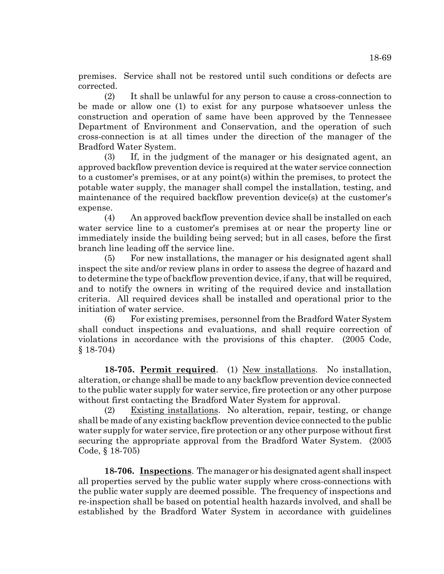premises. Service shall not be restored until such conditions or defects are corrected.

(2) It shall be unlawful for any person to cause a cross-connection to be made or allow one (1) to exist for any purpose whatsoever unless the construction and operation of same have been approved by the Tennessee Department of Environment and Conservation, and the operation of such cross-connection is at all times under the direction of the manager of the Bradford Water System.

(3) If, in the judgment of the manager or his designated agent, an approved backflow prevention device is required at the water service connection to a customer's premises, or at any point(s) within the premises, to protect the potable water supply, the manager shall compel the installation, testing, and maintenance of the required backflow prevention device(s) at the customer's expense.

(4) An approved backflow prevention device shall be installed on each water service line to a customer's premises at or near the property line or immediately inside the building being served; but in all cases, before the first branch line leading off the service line.

(5) For new installations, the manager or his designated agent shall inspect the site and/or review plans in order to assess the degree of hazard and to determine the type of backflow prevention device, if any, that will be required, and to notify the owners in writing of the required device and installation criteria. All required devices shall be installed and operational prior to the initiation of water service.

(6) For existing premises, personnel from the Bradford Water System shall conduct inspections and evaluations, and shall require correction of violations in accordance with the provisions of this chapter. (2005 Code, § 18-704)

**18-705. Permit required**. (1) New installations. No installation, alteration, or change shall be made to any backflow prevention device connected to the public water supply for water service, fire protection or any other purpose without first contacting the Bradford Water System for approval.

(2) Existing installations. No alteration, repair, testing, or change shall be made of any existing backflow prevention device connected to the public water supply for water service, fire protection or any other purpose without first securing the appropriate approval from the Bradford Water System. (2005 Code, § 18-705)

**18-706. Inspections**. The manager or his designated agent shall inspect all properties served by the public water supply where cross-connections with the public water supply are deemed possible. The frequency of inspections and re-inspection shall be based on potential health hazards involved, and shall be established by the Bradford Water System in accordance with guidelines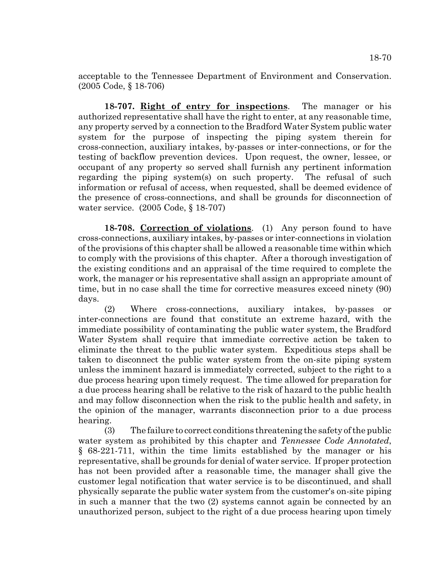acceptable to the Tennessee Department of Environment and Conservation. (2005 Code, § 18-706)

**18-707. Right of entry for inspections**. The manager or his authorized representative shall have the right to enter, at any reasonable time, any property served by a connection to the Bradford Water System public water system for the purpose of inspecting the piping system therein for cross-connection, auxiliary intakes, by-passes or inter-connections, or for the testing of backflow prevention devices. Upon request, the owner, lessee, or occupant of any property so served shall furnish any pertinent information regarding the piping system(s) on such property. The refusal of such information or refusal of access, when requested, shall be deemed evidence of the presence of cross-connections, and shall be grounds for disconnection of water service. (2005 Code, § 18-707)

**18-708. Correction of violations**. (1) Any person found to have cross-connections, auxiliary intakes, by-passes or inter-connections in violation of the provisions of this chapter shall be allowed a reasonable time within which to comply with the provisions of this chapter. After a thorough investigation of the existing conditions and an appraisal of the time required to complete the work, the manager or his representative shall assign an appropriate amount of time, but in no case shall the time for corrective measures exceed ninety (90) days.

(2) Where cross-connections, auxiliary intakes, by-passes or inter-connections are found that constitute an extreme hazard, with the immediate possibility of contaminating the public water system, the Bradford Water System shall require that immediate corrective action be taken to eliminate the threat to the public water system. Expeditious steps shall be taken to disconnect the public water system from the on-site piping system unless the imminent hazard is immediately corrected, subject to the right to a due process hearing upon timely request. The time allowed for preparation for a due process hearing shall be relative to the risk of hazard to the public health and may follow disconnection when the risk to the public health and safety, in the opinion of the manager, warrants disconnection prior to a due process hearing.

(3) The failure to correct conditions threatening the safety of the public water system as prohibited by this chapter and *Tennessee Code Annotated*, § 68-221-711, within the time limits established by the manager or his representative, shall be grounds for denial of water service. If proper protection has not been provided after a reasonable time, the manager shall give the customer legal notification that water service is to be discontinued, and shall physically separate the public water system from the customer's on-site piping in such a manner that the two (2) systems cannot again be connected by an unauthorized person, subject to the right of a due process hearing upon timely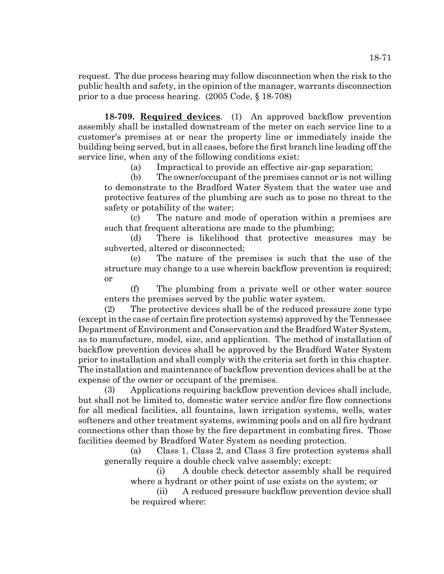request. The due process hearing may follow disconnection when the risk to the public health and safety, in the opinion of the manager, warrants disconnection prior to a due process hearing. (2005 Code, § 18-708)

**18-709. Required devices**. (1) An approved backflow prevention assembly shall be installed downstream of the meter on each service line to a customer's premises at or near the property line or immediately inside the building being served, but in all cases, before the first branch line leading off the service line, when any of the following conditions exist:

(a) Impractical to provide an effective air-gap separation;

(b) The owner/occupant of the premises cannot or is not willing to demonstrate to the Bradford Water System that the water use and protective features of the plumbing are such as to pose no threat to the safety or potability of the water;

(c) The nature and mode of operation within a premises are such that frequent alterations are made to the plumbing;

(d) There is likelihood that protective measures may be subverted, altered or disconnected;

(e) The nature of the premises is such that the use of the structure may change to a use wherein backflow prevention is required; or

(f) The plumbing from a private well or other water source enters the premises served by the public water system.

(2) The protective devices shall be of the reduced pressure zone type (except in the case of certain fire protection systems) approved by the Tennessee Department of Environment and Conservation and the Bradford Water System, as to manufacture, model, size, and application. The method of installation of backflow prevention devices shall be approved by the Bradford Water System prior to installation and shall comply with the criteria set forth in this chapter. The installation and maintenance of backflow prevention devices shall be at the expense of the owner or occupant of the premises.

(3) Applications requiring backflow prevention devices shall include, but shall not be limited to, domestic water service and/or fire flow connections for all medical facilities, all fountains, lawn irrigation systems, wells, water softeners and other treatment systems, swimming pools and on all fire hydrant connections other than those by the fire department in combating fires. Those facilities deemed by Bradford Water System as needing protection.

(a) Class 1, Class 2, and Class 3 fire protection systems shall generally require a double check valve assembly; except:

(i) A double check detector assembly shall be required where a hydrant or other point of use exists on the system; or

(ii) A reduced pressure backflow prevention device shall be required where: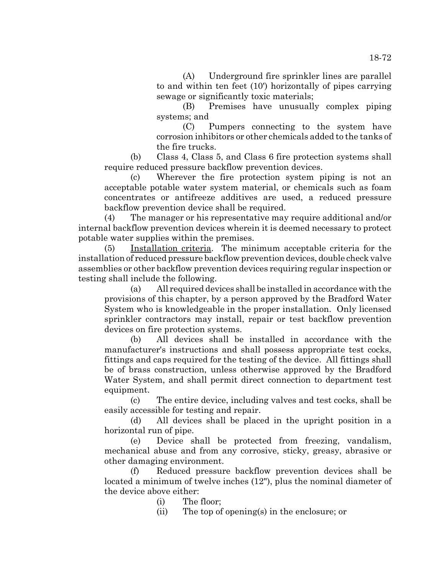(A) Underground fire sprinkler lines are parallel to and within ten feet (10') horizontally of pipes carrying sewage or significantly toxic materials;

(B) Premises have unusually complex piping systems; and

(C) Pumpers connecting to the system have corrosion inhibitors or other chemicals added to the tanks of the fire trucks.

(b) Class 4, Class 5, and Class 6 fire protection systems shall require reduced pressure backflow prevention devices.

(c) Wherever the fire protection system piping is not an acceptable potable water system material, or chemicals such as foam concentrates or antifreeze additives are used, a reduced pressure backflow prevention device shall be required.

(4) The manager or his representative may require additional and/or internal backflow prevention devices wherein it is deemed necessary to protect potable water supplies within the premises.

(5) Installation criteria. The minimum acceptable criteria for the installation of reduced pressure backflow prevention devices, double check valve assemblies or other backflow prevention devices requiring regular inspection or testing shall include the following.

(a) All required devices shall be installed in accordance with the provisions of this chapter, by a person approved by the Bradford Water System who is knowledgeable in the proper installation. Only licensed sprinkler contractors may install, repair or test backflow prevention devices on fire protection systems.

(b) All devices shall be installed in accordance with the manufacturer's instructions and shall possess appropriate test cocks, fittings and caps required for the testing of the device. All fittings shall be of brass construction, unless otherwise approved by the Bradford Water System, and shall permit direct connection to department test equipment.

(c) The entire device, including valves and test cocks, shall be easily accessible for testing and repair.

(d) All devices shall be placed in the upright position in a horizontal run of pipe.

(e) Device shall be protected from freezing, vandalism, mechanical abuse and from any corrosive, sticky, greasy, abrasive or other damaging environment.

(f) Reduced pressure backflow prevention devices shall be located a minimum of twelve inches (12"), plus the nominal diameter of the device above either:

(i) The floor;

(ii) The top of opening(s) in the enclosure; or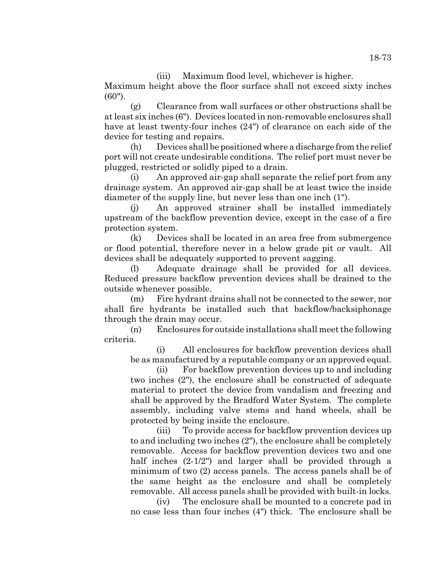(iii) Maximum flood level, whichever is higher.

Maximum height above the floor surface shall not exceed sixty inches (60").

(g) Clearance from wall surfaces or other obstructions shall be at least six inches (6"). Devices located in non-removable enclosures shall have at least twenty-four inches (24") of clearance on each side of the device for testing and repairs.

(h) Devices shall be positioned where a discharge from the relief port will not create undesirable conditions. The relief port must never be plugged, restricted or solidly piped to a drain.

(i) An approved air-gap shall separate the relief port from any drainage system. An approved air-gap shall be at least twice the inside diameter of the supply line, but never less than one inch (1").

(j) An approved strainer shall be installed immediately upstream of the backflow prevention device, except in the case of a fire protection system.

(k) Devices shall be located in an area free from submergence or flood potential, therefore never in a below grade pit or vault. All devices shall be adequately supported to prevent sagging.

(l) Adequate drainage shall be provided for all devices. Reduced pressure backflow prevention devices shall be drained to the outside whenever possible.

(m) Fire hydrant drains shall not be connected to the sewer, nor shall fire hydrants be installed such that backflow/backsiphonage through the drain may occur.

(n) Enclosures for outside installations shall meet the following criteria.

(i) All enclosures for backflow prevention devices shall be as manufactured by a reputable company or an approved equal.

(ii) For backflow prevention devices up to and including two inches (2"), the enclosure shall be constructed of adequate material to protect the device from vandalism and freezing and shall be approved by the Bradford Water System. The complete assembly, including valve stems and hand wheels, shall be protected by being inside the enclosure.

(iii) To provide access for backflow prevention devices up to and including two inches (2"), the enclosure shall be completely removable. Access for backflow prevention devices two and one half inches (2-1/2") and larger shall be provided through a minimum of two (2) access panels. The access panels shall be of the same height as the enclosure and shall be completely removable. All access panels shall be provided with built-in locks.

(iv) The enclosure shall be mounted to a concrete pad in no case less than four inches (4") thick. The enclosure shall be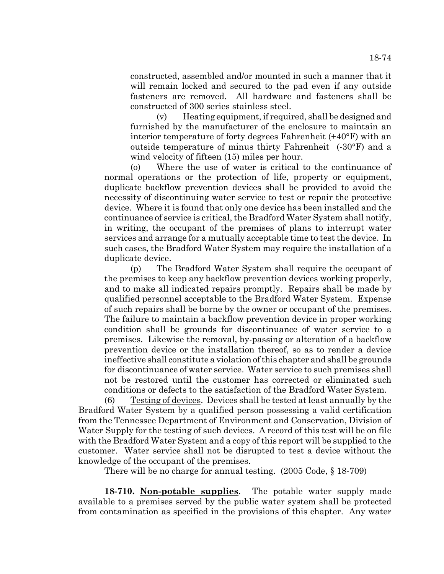constructed, assembled and/or mounted in such a manner that it will remain locked and secured to the pad even if any outside fasteners are removed. All hardware and fasteners shall be constructed of 300 series stainless steel.

(v) Heating equipment, if required, shall be designed and furnished by the manufacturer of the enclosure to maintain an interior temperature of forty degrees Fahrenheit (+40°F) with an outside temperature of minus thirty Fahrenheit (-30°F) and a wind velocity of fifteen (15) miles per hour.

(o) Where the use of water is critical to the continuance of normal operations or the protection of life, property or equipment, duplicate backflow prevention devices shall be provided to avoid the necessity of discontinuing water service to test or repair the protective device. Where it is found that only one device has been installed and the continuance of service is critical, the Bradford Water System shall notify, in writing, the occupant of the premises of plans to interrupt water services and arrange for a mutually acceptable time to test the device. In such cases, the Bradford Water System may require the installation of a duplicate device.

(p) The Bradford Water System shall require the occupant of the premises to keep any backflow prevention devices working properly, and to make all indicated repairs promptly. Repairs shall be made by qualified personnel acceptable to the Bradford Water System. Expense of such repairs shall be borne by the owner or occupant of the premises. The failure to maintain a backflow prevention device in proper working condition shall be grounds for discontinuance of water service to a premises. Likewise the removal, by-passing or alteration of a backflow prevention device or the installation thereof, so as to render a device ineffective shall constitute a violation of this chapter and shall be grounds for discontinuance of water service. Water service to such premises shall not be restored until the customer has corrected or eliminated such conditions or defects to the satisfaction of the Bradford Water System.

(6) Testing of devices. Devices shall be tested at least annually by the Bradford Water System by a qualified person possessing a valid certification from the Tennessee Department of Environment and Conservation, Division of Water Supply for the testing of such devices. A record of this test will be on file with the Bradford Water System and a copy of this report will be supplied to the customer. Water service shall not be disrupted to test a device without the knowledge of the occupant of the premises.

There will be no charge for annual testing. (2005 Code, § 18-709)

**18-710. Non-potable supplies**. The potable water supply made available to a premises served by the public water system shall be protected from contamination as specified in the provisions of this chapter. Any water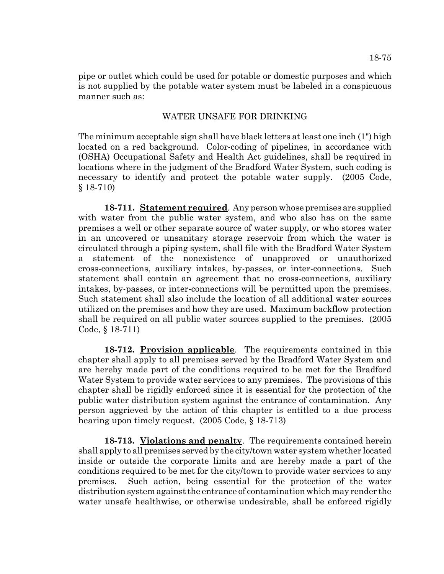pipe or outlet which could be used for potable or domestic purposes and which is not supplied by the potable water system must be labeled in a conspicuous manner such as:

## WATER UNSAFE FOR DRINKING

The minimum acceptable sign shall have black letters at least one inch (1") high located on a red background. Color-coding of pipelines, in accordance with (OSHA) Occupational Safety and Health Act guidelines, shall be required in locations where in the judgment of the Bradford Water System, such coding is necessary to identify and protect the potable water supply. (2005 Code, § 18-710)

**18-711. Statement required**. Any person whose premises are supplied with water from the public water system, and who also has on the same premises a well or other separate source of water supply, or who stores water in an uncovered or unsanitary storage reservoir from which the water is circulated through a piping system, shall file with the Bradford Water System a statement of the nonexistence of unapproved or unauthorized cross-connections, auxiliary intakes, by-passes, or inter-connections. Such statement shall contain an agreement that no cross-connections, auxiliary intakes, by-passes, or inter-connections will be permitted upon the premises. Such statement shall also include the location of all additional water sources utilized on the premises and how they are used. Maximum backflow protection shall be required on all public water sources supplied to the premises. (2005 Code, § 18-711)

**18-712. Provision applicable**. The requirements contained in this chapter shall apply to all premises served by the Bradford Water System and are hereby made part of the conditions required to be met for the Bradford Water System to provide water services to any premises. The provisions of this chapter shall be rigidly enforced since it is essential for the protection of the public water distribution system against the entrance of contamination. Any person aggrieved by the action of this chapter is entitled to a due process hearing upon timely request. (2005 Code, § 18-713)

**18-713. Violations and penalty**. The requirements contained herein shall apply to all premises served by the city/town water system whether located inside or outside the corporate limits and are hereby made a part of the conditions required to be met for the city/town to provide water services to any premises. Such action, being essential for the protection of the water distribution system against the entrance of contamination which may render the water unsafe healthwise, or otherwise undesirable, shall be enforced rigidly